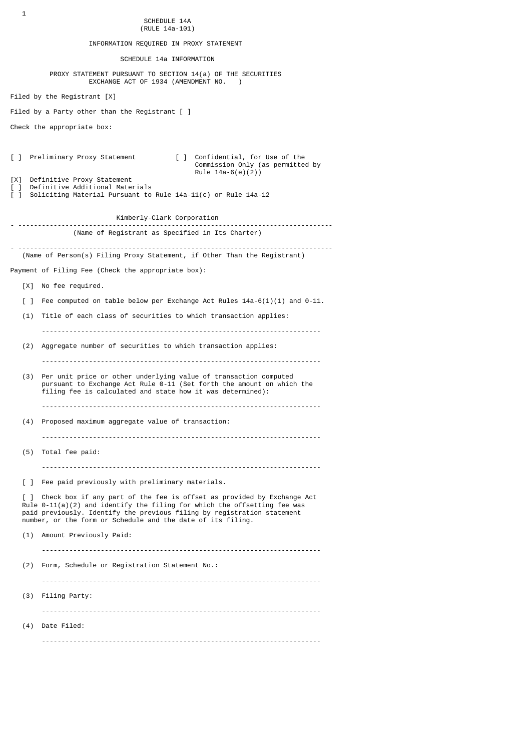INFORMATION REQUIRED IN PROXY STATEMENT

SCHEDULE 14a INFORMATION

 PROXY STATEMENT PURSUANT TO SECTION 14(a) OF THE SECURITIES EXCHANGE ACT OF 1934 (AMENDMENT NO. )

Filed by the Registrant [X]

Filed by a Party other than the Registrant [ ]

Check the appropriate box:

[ ] Preliminary Proxy Statement [ ] Confidential, for Use of the Commission Only (as permitted by Rule  $14a-6(e)(2)$ 

[X] Definitive Proxy Statement<br>[ ] Definitive Additional Materials [ ] Definitive Additional Materials [ ] Soliciting Material Pursuant to Rule 14a-11(c) or Rule 14a-12

 Kimberly-Clark Corporation - -------------------------------------------------------------------------------- (Name of Registrant as Specified in Its Charter) - -------------------------------------------------------------------------------- (Name of Person(s) Filing Proxy Statement, if Other Than the Registrant)

Payment of Filing Fee (Check the appropriate box):

[X] No fee required.

 $\lceil$  ] Fee computed on table below per Exchange Act Rules 14a-6(i)(1) and 0-11.

(1) Title of each class of securities to which transaction applies:

-----------------------------------------------------------------------

- (2) Aggregate number of securities to which transaction applies:
- (3) Per unit price or other underlying value of transaction computed pursuant to Exchange Act Rule 0-11 (Set forth the amount on which the filing fee is calculated and state how it was determined):

-----------------------------------------------------------------------

-----------------------------------------------------------------------

-----------------------------------------------------------------------

- (4) Proposed maximum aggregate value of transaction:
- (5) Total fee paid:
	- -----------------------------------------------------------------------

[ ] Fee paid previously with preliminary materials.

] Check box if any part of the fee is offset as provided by Exchange Act Rule  $0-11(a)(2)$  and identify the filing for which the offsetting fee was paid previously. Identify the previous filing by registration statement number, or the form or Schedule and the date of its filing.

 (1) Amount Previously Paid: ----------------------------------------------------------------------- (2) Form, Schedule or Registration Statement No.: ----------------------------------------------------------------------- (3) Filing Party: ----------------------------------------------------------------------- (4) Date Filed: -----------------------------------------------------------------------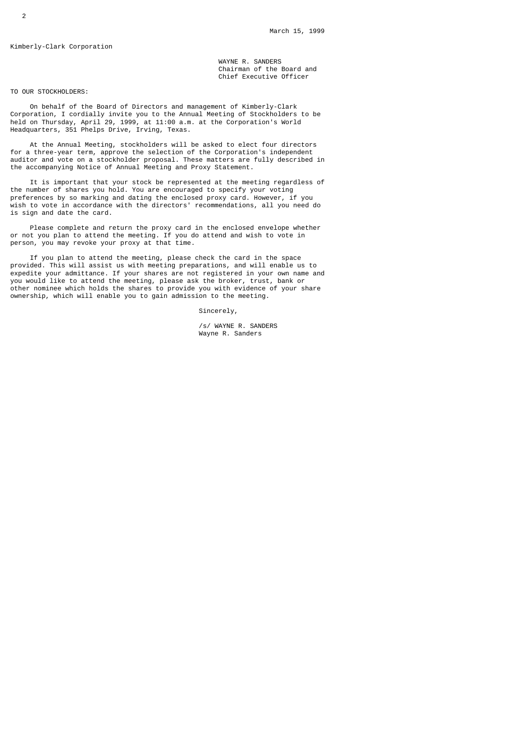# Kimberly-Clark Corporation

 WAYNE R. SANDERS Chairman of the Board and Chief Executive Officer

# TO OUR STOCKHOLDERS:

 On behalf of the Board of Directors and management of Kimberly-Clark Corporation, I cordially invite you to the Annual Meeting of Stockholders to be held on Thursday, April 29, 1999, at 11:00 a.m. at the Corporation's World Headquarters, 351 Phelps Drive, Irving, Texas.

 At the Annual Meeting, stockholders will be asked to elect four directors for a three-year term, approve the selection of the Corporation's independent auditor and vote on a stockholder proposal. These matters are fully described in the accompanying Notice of Annual Meeting and Proxy Statement.

 It is important that your stock be represented at the meeting regardless of the number of shares you hold. You are encouraged to specify your voting preferences by so marking and dating the enclosed proxy card. However, if you wish to vote in accordance with the directors' recommendations, all you need do is sign and date the card.

 Please complete and return the proxy card in the enclosed envelope whether or not you plan to attend the meeting. If you do attend and wish to vote in person, you may revoke your proxy at that time.

 If you plan to attend the meeting, please check the card in the space provided. This will assist us with meeting preparations, and will enable us to expedite your admittance. If your shares are not registered in your own name and you would like to attend the meeting, please ask the broker, trust, bank or other nominee which holds the shares to provide you with evidence of your share ownership, which will enable you to gain admission to the meeting.

Sincerely,

 /s/ WAYNE R. SANDERS Wayne R. Sanders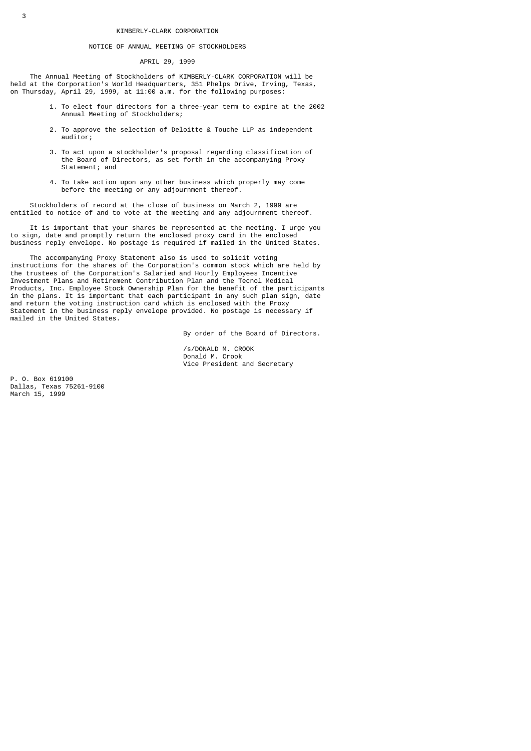#### NOTICE OF ANNUAL MEETING OF STOCKHOLDERS

#### APRIL 29, 1999

 The Annual Meeting of Stockholders of KIMBERLY-CLARK CORPORATION will be held at the Corporation's World Headquarters, 351 Phelps Drive, Irving, Texas, on Thursday, April 29, 1999, at 11:00 a.m. for the following purposes:

- 1. To elect four directors for a three-year term to expire at the 2002 Annual Meeting of Stockholders;
- 2. To approve the selection of Deloitte & Touche LLP as independent auditor;
- 3. To act upon a stockholder's proposal regarding classification of the Board of Directors, as set forth in the accompanying Proxy Statement; and
- 4. To take action upon any other business which properly may come before the meeting or any adjournment thereof.

 Stockholders of record at the close of business on March 2, 1999 are entitled to notice of and to vote at the meeting and any adjournment thereof.

 It is important that your shares be represented at the meeting. I urge you to sign, date and promptly return the enclosed proxy card in the enclosed business reply envelope. No postage is required if mailed in the United States.

 The accompanying Proxy Statement also is used to solicit voting instructions for the shares of the Corporation's common stock which are held by the trustees of the Corporation's Salaried and Hourly Employees Incentive Investment Plans and Retirement Contribution Plan and the Tecnol Medical Products, Inc. Employee Stock Ownership Plan for the benefit of the participants in the plans. It is important that each participant in any such plan sign, date and return the voting instruction card which is enclosed with the Proxy Statement in the business reply envelope provided. No postage is necessary if mailed in the United States.

By order of the Board of Directors.

 /s/DONALD M. CROOK Donald M. Crook Vice President and Secretary

P. O. Box 619100 Dallas, Texas 75261-9100 March 15, 1999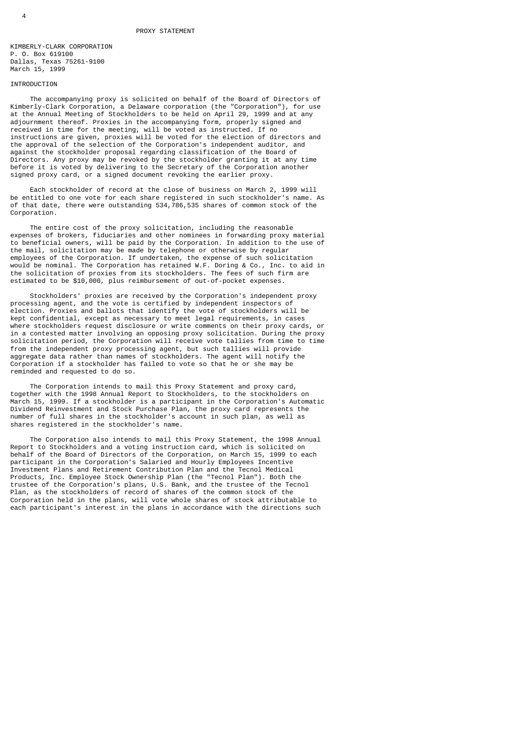KIMBERLY-CLARK CORPORATION P. O. Box 619100 Dallas, Texas 75261-9100 March 15, 1999

### INTRODUCTION

 The accompanying proxy is solicited on behalf of the Board of Directors of Kimberly-Clark Corporation, a Delaware corporation (the "Corporation"), for use at the Annual Meeting of Stockholders to be held on April 29, 1999 and at any adjournment thereof. Proxies in the accompanying form, properly signed and received in time for the meeting, will be voted as instructed. If no instructions are given, proxies will be voted for the election of directors and the approval of the selection of the Corporation's independent auditor, and against the stockholder proposal regarding classification of the Board of Directors. Any proxy may be revoked by the stockholder granting it at any time before it is voted by delivering to the Secretary of the Corporation another signed proxy card, or a signed document revoking the earlier proxy.

 Each stockholder of record at the close of business on March 2, 1999 will be entitled to one vote for each share registered in such stockholder's name. As of that date, there were outstanding 534,786,535 shares of common stock of the Corporation.

 The entire cost of the proxy solicitation, including the reasonable expenses of brokers, fiduciaries and other nominees in forwarding proxy material to beneficial owners, will be paid by the Corporation. In addition to the use of the mail, solicitation may be made by telephone or otherwise by regular employees of the Corporation. If undertaken, the expense of such solicitation would be nominal. The Corporation has retained W.F. Doring & Co., Inc. to aid in the solicitation of proxies from its stockholders. The fees of such firm are estimated to be \$10,000, plus reimbursement of out-of-pocket expenses.

 Stockholders' proxies are received by the Corporation's independent proxy processing agent, and the vote is certified by independent inspectors of election. Proxies and ballots that identify the vote of stockholders will be kept confidential, except as necessary to meet legal requirements, in cases where stockholders request disclosure or write comments on their proxy cards, or in a contested matter involving an opposing proxy solicitation. During the proxy solicitation period, the Corporation will receive vote tallies from time to time from the independent proxy processing agent, but such tallies will provide aggregate data rather than names of stockholders. The agent will notify the Corporation if a stockholder has failed to vote so that he or she may be reminded and requested to do so.

 The Corporation intends to mail this Proxy Statement and proxy card, together with the 1998 Annual Report to Stockholders, to the stockholders on March 15, 1999. If a stockholder is a participant in the Corporation's Automatic Dividend Reinvestment and Stock Purchase Plan, the proxy card represents the number of full shares in the stockholder's account in such plan, as well as shares registered in the stockholder's name.

 The Corporation also intends to mail this Proxy Statement, the 1998 Annual Report to Stockholders and a voting instruction card, which is solicited on behalf of the Board of Directors of the Corporation, on March 15, 1999 to each participant in the Corporation's Salaried and Hourly Employees Incentive Investment Plans and Retirement Contribution Plan and the Tecnol Medical Products, Inc. Employee Stock Ownership Plan (the "Tecnol Plan"). Both the trustee of the Corporation's plans, U.S. Bank, and the trustee of the Tecnol Plan, as the stockholders of record of shares of the common stock of the Corporation held in the plans, will vote whole shares of stock attributable to each participant's interest in the plans in accordance with the directions such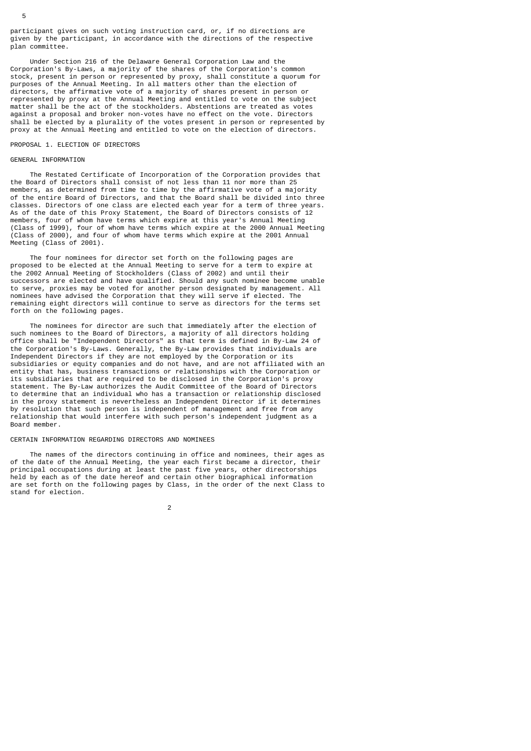participant gives on such voting instruction card, or, if no directions are given by the participant, in accordance with the directions of the respective plan committee.

 Under Section 216 of the Delaware General Corporation Law and the Corporation's By-Laws, a majority of the shares of the Corporation's common stock, present in person or represented by proxy, shall constitute a quorum for purposes of the Annual Meeting. In all matters other than the election of directors, the affirmative vote of a majority of shares present in person or represented by proxy at the Annual Meeting and entitled to vote on the subject matter shall be the act of the stockholders. Abstentions are treated as votes against a proposal and broker non-votes have no effect on the vote. Directors shall be elected by a plurality of the votes present in person or represented by proxy at the Annual Meeting and entitled to vote on the election of directors.

#### PROPOSAL 1. ELECTION OF DIRECTORS

### GENERAL INFORMATION

 The Restated Certificate of Incorporation of the Corporation provides that the Board of Directors shall consist of not less than 11 nor more than 25 members, as determined from time to time by the affirmative vote of a majority of the entire Board of Directors, and that the Board shall be divided into three classes. Directors of one class are elected each year for a term of three years. As of the date of this Proxy Statement, the Board of Directors consists of 12 members, four of whom have terms which expire at this year's Annual Meeting (Class of 1999), four of whom have terms which expire at the 2000 Annual Meeting (Class of 2000), and four of whom have terms which expire at the 2001 Annual Meeting (Class of 2001).

 The four nominees for director set forth on the following pages are proposed to be elected at the Annual Meeting to serve for a term to expire at the 2002 Annual Meeting of Stockholders (Class of 2002) and until their successors are elected and have qualified. Should any such nominee become unable to serve, proxies may be voted for another person designated by management. All nominees have advised the Corporation that they will serve if elected. The remaining eight directors will continue to serve as directors for the terms set forth on the following pages.

 The nominees for director are such that immediately after the election of such nominees to the Board of Directors, a majority of all directors holding office shall be "Independent Directors" as that term is defined in By-Law 24 of the Corporation's By-Laws. Generally, the By-Law provides that individuals are Independent Directors if they are not employed by the Corporation or its subsidiaries or equity companies and do not have, and are not affiliated with an entity that has, business transactions or relationships with the Corporation or its subsidiaries that are required to be disclosed in the Corporation's proxy statement. The By-Law authorizes the Audit Committee of the Board of Directors to determine that an individual who has a transaction or relationship disclosed in the proxy statement is nevertheless an Independent Director if it determines by resolution that such person is independent of management and free from any relationship that would interfere with such person's independent judgment as a Board member.

# CERTAIN INFORMATION REGARDING DIRECTORS AND NOMINEES

 The names of the directors continuing in office and nominees, their ages as of the date of the Annual Meeting, the year each first became a director, their principal occupations during at least the past five years, other directorships held by each as of the date hereof and certain other biographical information are set forth on the following pages by Class, in the order of the next Class to stand for election.

2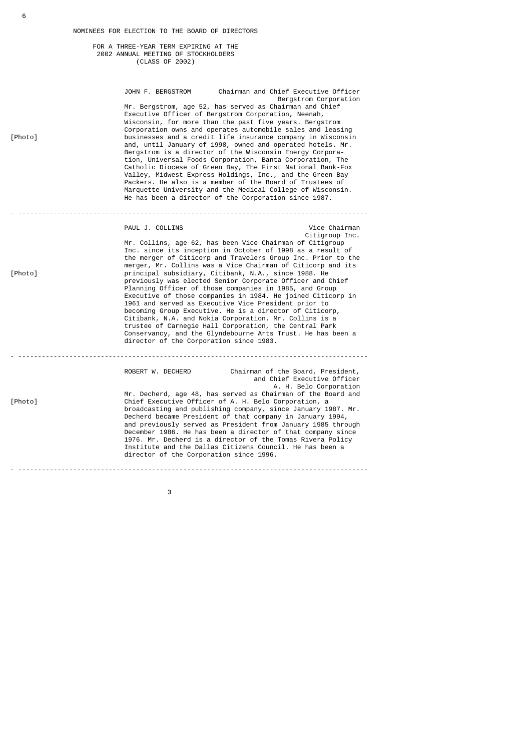### FOR A THREE-YEAR TERM EXPIRING AT THE 2002 ANNUAL MEETING OF STOCKHOLDERS (CLASS OF 2002)

| [Photo] | JOHN F. BERGSTROM                                          | Chairman and Chief Executive Officer<br>Mr. Bergstrom, age 52, has served as Chairman and Chief<br>Executive Officer of Bergstrom Corporation, Neenah,<br>Wisconsin, for more than the past five years. Bergstrom<br>Corporation owns and operates automobile sales and leasing<br>businesses and a credit life insurance company in Wisconsin<br>and, until January of 1998, owned and operated hotels. Mr.<br>Bergstrom is a director of the Wisconsin Energy Corpora-<br>tion, Universal Foods Corporation, Banta Corporation, The<br>Catholic Diocese of Green Bay, The First National Bank-Fox<br>Valley, Midwest Express Holdings, Inc., and the Green Bay<br>Packers. He also is a member of the Board of Trustees of<br>Marquette University and the Medical College of Wisconsin.<br>He has been a director of the Corporation since 1987. | Bergstrom Corporation           |
|---------|------------------------------------------------------------|-----------------------------------------------------------------------------------------------------------------------------------------------------------------------------------------------------------------------------------------------------------------------------------------------------------------------------------------------------------------------------------------------------------------------------------------------------------------------------------------------------------------------------------------------------------------------------------------------------------------------------------------------------------------------------------------------------------------------------------------------------------------------------------------------------------------------------------------------------|---------------------------------|
| [Photo] | PAUL J. COLLINS<br>director of the Corporation since 1983. | Mr. Collins, age 62, has been Vice Chairman of Citigroup<br>Inc. since its inception in October of 1998 as a result of<br>the merger of Citicorp and Travelers Group Inc. Prior to the<br>merger, Mr. Collins was a Vice Chairman of Citicorp and its<br>principal subsidiary, Citibank, N.A., since 1988. He<br>previously was elected Senior Corporate Officer and Chief<br>Planning Officer of those companies in 1985, and Group<br>Executive of those companies in 1984. He joined Citicorp in<br>1961 and served as Executive Vice President prior to<br>becoming Group Executive. He is a director of Citicorp,<br>Citibank, N.A. and Nokia Corporation. Mr. Collins is a<br>trustee of Carnegie Hall Corporation, the Central Park<br>Conservancy, and the Glyndebourne Arts Trust. He has been a                                           | Vice Chairman<br>Citigroup Inc. |
| [Photo] | director of the Corporation since 1996.                    | ROBERT W. DECHERD Chairman of the Board, President,<br>and Chief Executive Officer<br>Mr. Decherd, age 48, has served as Chairman of the Board and<br>Chief Executive Officer of A. H. Belo Corporation, a<br>broadcasting and publishing company, since January 1987. Mr.<br>Decherd became President of that company in January 1994,<br>and previously served as President from January 1985 through<br>December 1986. He has been a director of that company since<br>1976. Mr. Decherd is a director of the Tomas Rivera Policy<br>Institute and the Dallas Citizens Council. He has been a                                                                                                                                                                                                                                                    | A. H. Belo Corporation          |

 $\sim$  3

- -----------------------------------------------------------------------------------------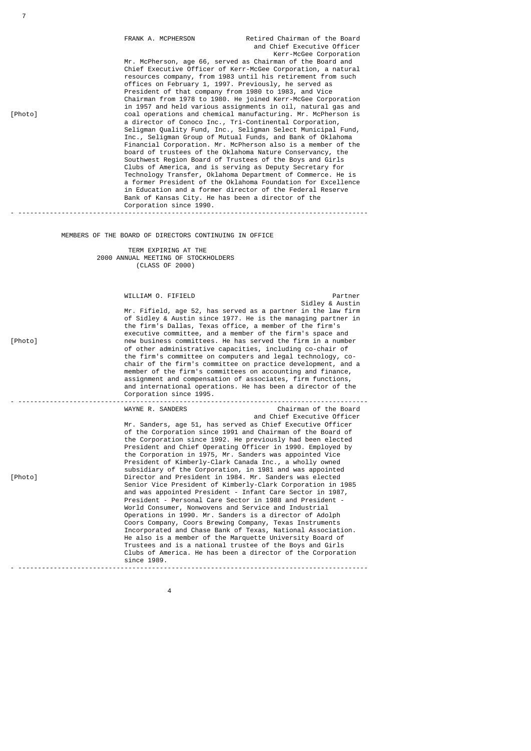| [Photo] | FRANK A. MCPHERSON<br>Mr. McPherson, age 66, served as Chairman of the Board and<br>resources company, from 1983 until his retirement from such<br>offices on February 1, 1997. Previously, he served as<br>President of that company from 1980 to 1983, and Vice<br>a director of Conoco Inc., Tri-Continental Corporation,<br>Inc., Seligman Group of Mutual Funds, and Bank of Oklahoma<br>board of trustees of the Oklahoma Nature Conservancy, the<br>Southwest Region Board of Trustees of the Boys and Girls<br>Clubs of America, and is serving as Deputy Secretary for<br>Technology Transfer, Oklahoma Department of Commerce. He is<br>in Education and a former director of the Federal Reserve<br>Bank of Kansas City. He has been a director of the<br>Corporation since 1990.                                                                                                                                                                                                                                                                                                                                                 | Retired Chairman of the Board<br>and Chief Executive Officer<br>Kerr-McGee Corporation<br>Chief Executive Officer of Kerr-McGee Corporation, a natural<br>Chairman from 1978 to 1980. He joined Kerr-McGee Corporation<br>in 1957 and held various assignments in oil, natural gas and<br>coal operations and chemical manufacturing. Mr. McPherson is<br>Seligman Quality Fund, Inc., Seligman Select Municipal Fund,<br>Financial Corporation. Mr. McPherson also is a member of the<br>a former President of the Oklahoma Foundation for Excellence |  |
|---------|----------------------------------------------------------------------------------------------------------------------------------------------------------------------------------------------------------------------------------------------------------------------------------------------------------------------------------------------------------------------------------------------------------------------------------------------------------------------------------------------------------------------------------------------------------------------------------------------------------------------------------------------------------------------------------------------------------------------------------------------------------------------------------------------------------------------------------------------------------------------------------------------------------------------------------------------------------------------------------------------------------------------------------------------------------------------------------------------------------------------------------------------|--------------------------------------------------------------------------------------------------------------------------------------------------------------------------------------------------------------------------------------------------------------------------------------------------------------------------------------------------------------------------------------------------------------------------------------------------------------------------------------------------------------------------------------------------------|--|
|         | MEMBERS OF THE BOARD OF DIRECTORS CONTINUING IN OFFICE                                                                                                                                                                                                                                                                                                                                                                                                                                                                                                                                                                                                                                                                                                                                                                                                                                                                                                                                                                                                                                                                                       |                                                                                                                                                                                                                                                                                                                                                                                                                                                                                                                                                        |  |
|         | TERM EXPIRING AT THE<br>2000 ANNUAL MEETING OF STOCKHOLDERS<br>(CLASS OF 2000)                                                                                                                                                                                                                                                                                                                                                                                                                                                                                                                                                                                                                                                                                                                                                                                                                                                                                                                                                                                                                                                               |                                                                                                                                                                                                                                                                                                                                                                                                                                                                                                                                                        |  |
| [Photo] | WILLIAM O. FIFIELD<br>the firm's Dallas, Texas office, a member of the firm's<br>executive committee, and a member of the firm's space and<br>new business committees. He has served the firm in a number<br>of other administrative capacities, including co-chair of<br>the firm's committee on computers and legal technology, co-<br>member of the firm's committees on accounting and finance,<br>assignment and compensation of associates, firm functions,<br>and international operations. He has been a director of the                                                                                                                                                                                                                                                                                                                                                                                                                                                                                                                                                                                                             | Partner<br>Sidley & Austin<br>Mr. Fifield, age 52, has served as a partner in the law firm<br>of Sidley & Austin since 1977. He is the managing partner in<br>chair of the firm's committee on practice development, and a                                                                                                                                                                                                                                                                                                                             |  |
|         | Corporation since 1995.<br><u></u><br>WAYNE R. SANDERS                                                                                                                                                                                                                                                                                                                                                                                                                                                                                                                                                                                                                                                                                                                                                                                                                                                                                                                                                                                                                                                                                       | Chairman of the Board                                                                                                                                                                                                                                                                                                                                                                                                                                                                                                                                  |  |
| [Photo] | Mr. Sanders, age 51, has served as Chief Executive Officer<br>of the Corporation since 1991 and Chairman of the Board of<br>the Corporation since 1992. He previously had been elected<br>President and Chief Operating Officer in 1990. Employed by<br>the Corporation in 1975, Mr. Sanders was appointed Vice<br>President of Kimberly-Clark Canada Inc., a wholly owned<br>subsidiary of the Corporation, in 1981 and was appointed<br>Director and President in 1984. Mr. Sanders was elected<br>Senior Vice President of Kimberly-Clark Corporation in 1985<br>and was appointed President - Infant Care Sector in 1987,<br>President - Personal Care Sector in 1988 and President -<br>World Consumer, Nonwovens and Service and Industrial<br>Operations in 1990. Mr. Sanders is a director of Adolph<br>Coors Company, Coors Brewing Company, Texas Instruments<br>Incorporated and Chase Bank of Texas, National Association.<br>He also is a member of the Marquette University Board of<br>Trustees and is a national trustee of the Boys and Girls<br>Clubs of America. He has been a director of the Corporation<br>since 1989. | and Chief Executive Officer                                                                                                                                                                                                                                                                                                                                                                                                                                                                                                                            |  |
|         |                                                                                                                                                                                                                                                                                                                                                                                                                                                                                                                                                                                                                                                                                                                                                                                                                                                                                                                                                                                                                                                                                                                                              |                                                                                                                                                                                                                                                                                                                                                                                                                                                                                                                                                        |  |

7

4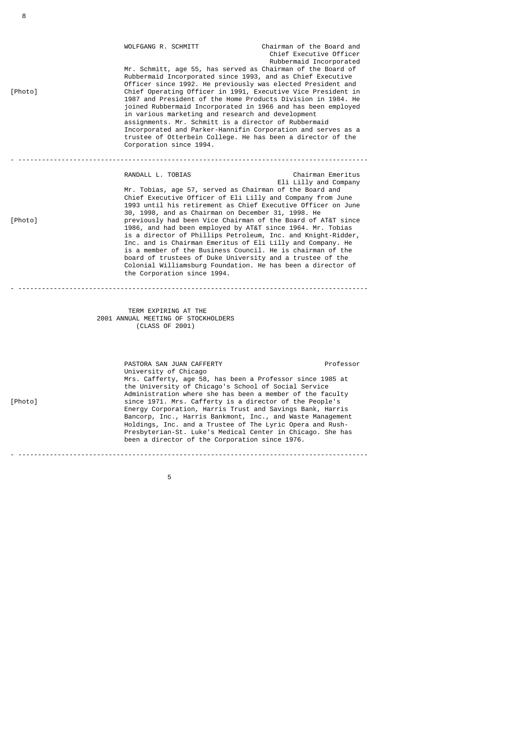| [Photo] | WOLFGANG R. SCHMITT<br>Mr. Schmitt, age 55, has served as Chairman of the Board of<br>Rubbermaid Incorporated since 1993, and as Chief Executive<br>Officer since 1992. He previously was elected President and<br>Chief Operating Officer in 1991, Executive Vice President in<br>1987 and President of the Home Products Division in 1984. He<br>joined Rubbermaid Incorporated in 1966 and has been employed<br>in various marketing and research and development<br>assignments. Mr. Schmitt is a director of Rubbermaid<br>Incorporated and Parker-Hannifin Corporation and serves as a<br>trustee of Otterbein College. He has been a director of the<br>Corporation since 1994.                                                                | Chairman of the Board and<br>Chief Executive Officer<br>Rubbermaid Incorporated |
|---------|-------------------------------------------------------------------------------------------------------------------------------------------------------------------------------------------------------------------------------------------------------------------------------------------------------------------------------------------------------------------------------------------------------------------------------------------------------------------------------------------------------------------------------------------------------------------------------------------------------------------------------------------------------------------------------------------------------------------------------------------------------|---------------------------------------------------------------------------------|
| [Photo] | RANDALL L. TOBIAS<br>Mr. Tobias, age 57, served as Chairman of the Board and<br>Chief Executive Officer of Eli Lilly and Company from June<br>1993 until his retirement as Chief Executive Officer on June<br>30, 1998, and as Chairman on December 31, 1998. He<br>previously had been Vice Chairman of the Board of AT&T since<br>1986, and had been employed by AT&T since 1964. Mr. Tobias<br>is a director of Phillips Petroleum, Inc. and Knight-Ridder,<br>Inc. and is Chairman Emeritus of Eli Lilly and Company. He<br>is a member of the Business Council. He is chairman of the<br>board of trustees of Duke University and a trustee of the<br>Colonial Williamsburg Foundation. He has been a director of<br>the Corporation since 1994. | Chairman Emeritus<br>Eli Lilly and Company                                      |
|         | TERM EXPIRING AT THE<br>2001 ANNUAL MEETING OF STOCKHOLDERS<br>(CLASS OF 2001)                                                                                                                                                                                                                                                                                                                                                                                                                                                                                                                                                                                                                                                                        |                                                                                 |
| [Photo] | PASTORA SAN JUAN CAFFERTY<br>University of Chicago<br>Mrs. Cafferty, age 58, has been a Professor since 1985 at<br>the University of Chicago's School of Social Service<br>Administration where she has been a member of the faculty<br>since 1971. Mrs. Cafferty is a director of the People's<br>Energy Corporation, Harris Trust and Savings Bank, Harris<br>Bancorp, Inc., Harris Bankmont, Inc., and Waste Management<br>Holdings, Inc. and a Trustee of The Lyric Opera and Rush-<br>Presbyterian-St. Luke's Medical Center in Chicago. She has<br>been a director of the Corporation since 1976.                                                                                                                                               | Professor                                                                       |
|         |                                                                                                                                                                                                                                                                                                                                                                                                                                                                                                                                                                                                                                                                                                                                                       |                                                                                 |

the contract of the contract of the contract of the contract of the contract of the contract of the contract o

8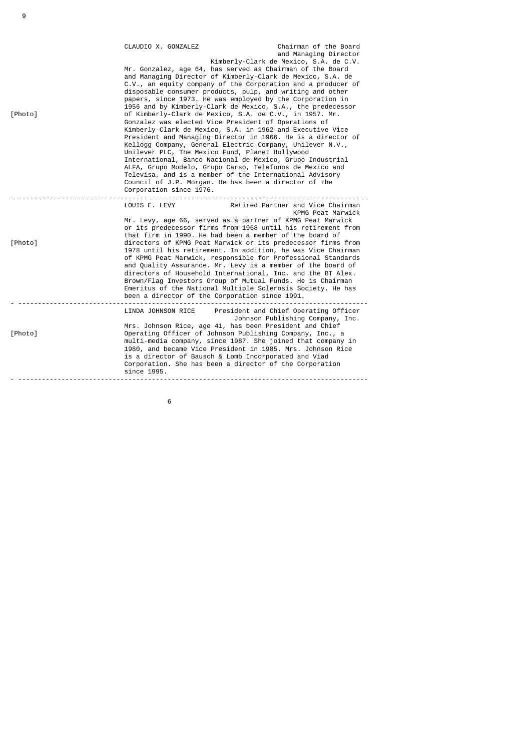| [Photo] | CLAUDIO X, GONZALEZ<br>of Kimberly-Clark de Mexico, S.A. de C.V., in 1957. Mr.<br>Gonzalez was elected Vice President of Operations of<br>Unilever PLC, The Mexico Fund, Planet Hollywood<br>Council of J.P. Morgan. He has been a director of the<br>Corporation since 1976. | Chairman of the Board<br>and Managing Director<br>Kimberly-Clark de Mexico, S.A. de C.V.<br>Mr. Gonzalez, age 64, has served as Chairman of the Board<br>and Managing Director of Kimberly-Clark de Mexico, S.A. de<br>C.V., an equity company of the Corporation and a producer of<br>disposable consumer products, pulp, and writing and other<br>papers, since 1973. He was employed by the Corporation in<br>1956 and by Kimberly-Clark de Mexico, S.A., the predecessor<br>Kimberly-Clark de Mexico, S.A. in 1962 and Executive Vice<br>President and Managing Director in 1966. He is a director of<br>Kellogg Company, General Electric Company, Unilever N.V.,<br>International, Banco Nacional de Mexico, Grupo Industrial<br>ALFA, Grupo Modelo, Grupo Carso, Telefonos de Mexico and<br>Televisa, and is a member of the International Advisory |
|---------|-------------------------------------------------------------------------------------------------------------------------------------------------------------------------------------------------------------------------------------------------------------------------------|------------------------------------------------------------------------------------------------------------------------------------------------------------------------------------------------------------------------------------------------------------------------------------------------------------------------------------------------------------------------------------------------------------------------------------------------------------------------------------------------------------------------------------------------------------------------------------------------------------------------------------------------------------------------------------------------------------------------------------------------------------------------------------------------------------------------------------------------------------|
|         | LOUIS E. LEVY                                                                                                                                                                                                                                                                 | Retired Partner and Vice Chairman                                                                                                                                                                                                                                                                                                                                                                                                                                                                                                                                                                                                                                                                                                                                                                                                                          |
| [Photo] | that firm in 1990. He had been a member of the board of<br>been a director of the Corporation since 1991.                                                                                                                                                                     | KPMG Peat Marwick<br>Mr. Levy, age 66, served as a partner of KPMG Peat Marwick<br>or its predecessor firms from 1968 until his retirement from<br>directors of KPMG Peat Marwick or its predecessor firms from<br>1978 until his retirement. In addition, he was Vice Chairman<br>of KPMG Peat Marwick, responsible for Professional Standards<br>and Quality Assurance. Mr. Levy is a member of the board of<br>directors of Household International, Inc. and the BT Alex.<br>Brown/Flag Investors Group of Mutual Funds. He is Chairman<br>Emeritus of the National Multiple Sclerosis Society. He has                                                                                                                                                                                                                                                 |
| [Photo] | is a director of Bausch & Lomb Incorporated and Viad<br>Corporation. She has been a director of the Corporation<br>since 1995.                                                                                                                                                | LINDA JOHNSON RICE President and Chief Operating Officer<br>Johnson Publishing Company, Inc.<br>Mrs. Johnson Rice, age 41, has been President and Chief<br>Operating Officer of Johnson Publishing Company, Inc., a<br>multi-media company, since 1987. She joined that company in<br>1980, and became Vice President in 1985. Mrs. Johnson Rice                                                                                                                                                                                                                                                                                                                                                                                                                                                                                                           |

9

 $\sim$  6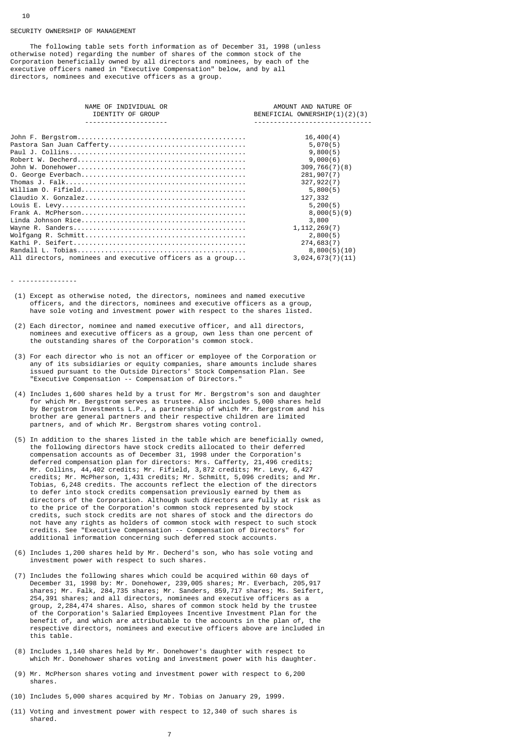#### SECURTTY OWNERSHTP OF MANAGEMENT

10

 The following table sets forth information as of December 31, 1998 (unless otherwise noted) regarding the number of shares of the common stock of the Corporation beneficially owned by all directors and nominees, by each of the executive officers named in "Executive Compensation" below, and by all directors, nominees and executive officers as a group.

| NAME OF INDIVIDUAL OR<br>IDENTITY OF GROUP                | AMOUNT AND NATURE OF<br>BENEFICIAL OWNERSHIP(1)(2)(3) |
|-----------------------------------------------------------|-------------------------------------------------------|
|                                                           |                                                       |
|                                                           | 16,400(4)                                             |
|                                                           | 5,070(5)                                              |
|                                                           | 9,800(5)                                              |
|                                                           | 9,000(6)                                              |
|                                                           | 309,766(7)(8)                                         |
|                                                           | 281,907(7)                                            |
|                                                           | 327, 922(7)                                           |
|                                                           | 5,800(5)                                              |
|                                                           | 127,332                                               |
|                                                           | 5,200(5)                                              |
|                                                           | 8,000(5)(9)                                           |
|                                                           | 3,800                                                 |
|                                                           | 1, 112, 269(7)                                        |
|                                                           | 2,800(5)                                              |
|                                                           | 274,683(7)                                            |
|                                                           | 8,800(5)(10)                                          |
| All directors, nominees and executive officers as a group | 3,024,673(7)(11)                                      |
|                                                           |                                                       |

- ---------------
- (1) Except as otherwise noted, the directors, nominees and named executive officers, and the directors, nominees and executive officers as a group, have sole voting and investment power with respect to the shares listed.
- (2) Each director, nominee and named executive officer, and all directors, nominees and executive officers as a group, own less than one percent of the outstanding shares of the Corporation's common stock.
- (3) For each director who is not an officer or employee of the Corporation or any of its subsidiaries or equity companies, share amounts include shares issued pursuant to the Outside Directors' Stock Compensation Plan. See "Executive Compensation -- Compensation of Directors."
- (4) Includes 1,600 shares held by a trust for Mr. Bergstrom's son and daughter for which Mr. Bergstrom serves as trustee. Also includes 5,000 shares held by Bergstrom Investments L.P., a partnership of which Mr. Bergstrom and his brother are general partners and their respective children are limited partners, and of which Mr. Bergstrom shares voting control.
- (5) In addition to the shares listed in the table which are beneficially owned, the following directors have stock credits allocated to their deferred compensation accounts as of December 31, 1998 under the Corporation's deferred compensation plan for directors: Mrs. Cafferty, 21,496 credits; Mr. Collins, 44,402 credits; Mr. Fifield, 3,872 credits; Mr. Levy, 6,427 credits; Mr. McPherson, 1,431 credits; Mr. Schmitt, 5,096 credits; and Mr. Tobias, 6,248 credits. The accounts reflect the election of the directors to defer into stock credits compensation previously earned by them as directors of the Corporation. Although such directors are fully at risk as to the price of the Corporation's common stock represented by stock credits, such stock credits are not shares of stock and the directors do not have any rights as holders of common stock with respect to such stock credits. See "Executive Compensation -- Compensation of Directors" for additional information concerning such deferred stock accounts.
- (6) Includes 1,200 shares held by Mr. Decherd's son, who has sole voting and investment power with respect to such shares.
- (7) Includes the following shares which could be acquired within 60 days of December 31, 1998 by: Mr. Donehower, 239,005 shares; Mr. Everbach, 205,917 shares; Mr. Falk, 284,735 shares; Mr. Sanders, 859,717 shares; Ms. Seifert, 254,391 shares; and all directors, nominees and executive officers as a group, 2,284,474 shares. Also, shares of common stock held by the trustee of the Corporation's Salaried Employees Incentive Investment Plan for the benefit of, and which are attributable to the accounts in the plan of, the respective directors, nominees and executive officers above are included in this table.
- (8) Includes 1,140 shares held by Mr. Donehower's daughter with respect to which Mr. Donehower shares voting and investment power with his daughter.
- (9) Mr. McPherson shares voting and investment power with respect to 6,200 shares.
- (10) Includes 5,000 shares acquired by Mr. Tobias on January 29, 1999.
- (11) Voting and investment power with respect to 12,340 of such shares is shared.

7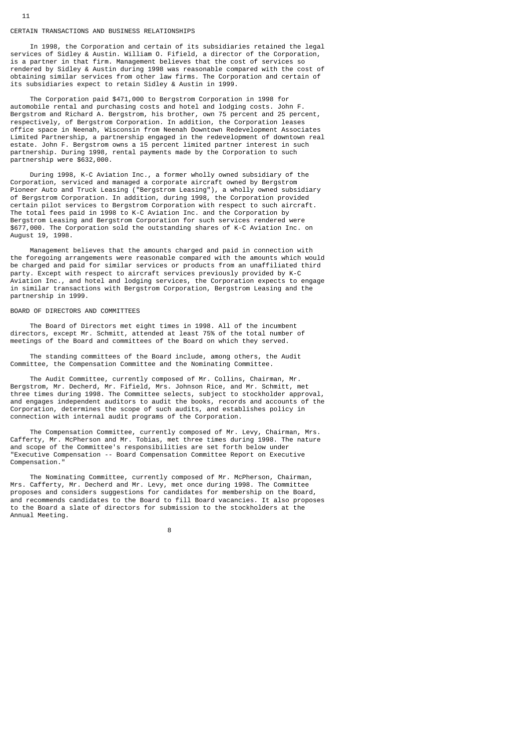#### CERTAIN TRANSACTIONS AND BUSINESS RELATIONSHIPS

 In 1998, the Corporation and certain of its subsidiaries retained the legal services of Sidley & Austin. William O. Fifield, a director of the Corporation, is a partner in that firm. Management believes that the cost of services so rendered by Sidley & Austin during 1998 was reasonable compared with the cost of obtaining similar services from other law firms. The Corporation and certain of its subsidiaries expect to retain Sidley & Austin in 1999.

 The Corporation paid \$471,000 to Bergstrom Corporation in 1998 for automobile rental and purchasing costs and hotel and lodging costs. John F. Bergstrom and Richard A. Bergstrom, his brother, own 75 percent and 25 percent, respectively, of Bergstrom Corporation. In addition, the Corporation leases office space in Neenah, Wisconsin from Neenah Downtown Redevelopment Associates Limited Partnership, a partnership engaged in the redevelopment of downtown real estate. John F. Bergstrom owns a 15 percent limited partner interest in such partnership. During 1998, rental payments made by the Corporation to such partnership were \$632,000.

 During 1998, K-C Aviation Inc., a former wholly owned subsidiary of the Corporation, serviced and managed a corporate aircraft owned by Bergstrom Pioneer Auto and Truck Leasing ("Bergstrom Leasing"), a wholly owned subsidiary of Bergstrom Corporation. In addition, during 1998, the Corporation provided certain pilot services to Bergstrom Corporation with respect to such aircraft. The total fees paid in 1998 to K-C Aviation Inc. and the Corporation by Bergstrom Leasing and Bergstrom Corporation for such services rendered were \$677,000. The Corporation sold the outstanding shares of K-C Aviation Inc. on August 19, 1998.

 Management believes that the amounts charged and paid in connection with the foregoing arrangements were reasonable compared with the amounts which would be charged and paid for similar services or products from an unaffiliated third party. Except with respect to aircraft services previously provided by K-C Aviation Inc., and hotel and lodging services, the Corporation expects to engage in similar transactions with Bergstrom Corporation, Bergstrom Leasing and the partnership in 1999.

#### BOARD OF DIRECTORS AND COMMITTEES

 The Board of Directors met eight times in 1998. All of the incumbent directors, except Mr. Schmitt, attended at least 75% of the total number of meetings of the Board and committees of the Board on which they served.

 The standing committees of the Board include, among others, the Audit Committee, the Compensation Committee and the Nominating Committee.

 The Audit Committee, currently composed of Mr. Collins, Chairman, Mr. Bergstrom, Mr. Decherd, Mr. Fifield, Mrs. Johnson Rice, and Mr. Schmitt, met three times during 1998. The Committee selects, subject to stockholder approval, and engages independent auditors to audit the books, records and accounts of the Corporation, determines the scope of such audits, and establishes policy in connection with internal audit programs of the Corporation.

 The Compensation Committee, currently composed of Mr. Levy, Chairman, Mrs. Cafferty, Mr. McPherson and Mr. Tobias, met three times during 1998. The nature and scope of the Committee's responsibilities are set forth below under "Executive Compensation -- Board Compensation Committee Report on Executive Compensation."

 The Nominating Committee, currently composed of Mr. McPherson, Chairman, Mrs. Cafferty, Mr. Decherd and Mr. Levy, met once during 1998. The Committee proposes and considers suggestions for candidates for membership on the Board, and recommends candidates to the Board to fill Board vacancies. It also proposes to the Board a slate of directors for submission to the stockholders at the Annual Meeting.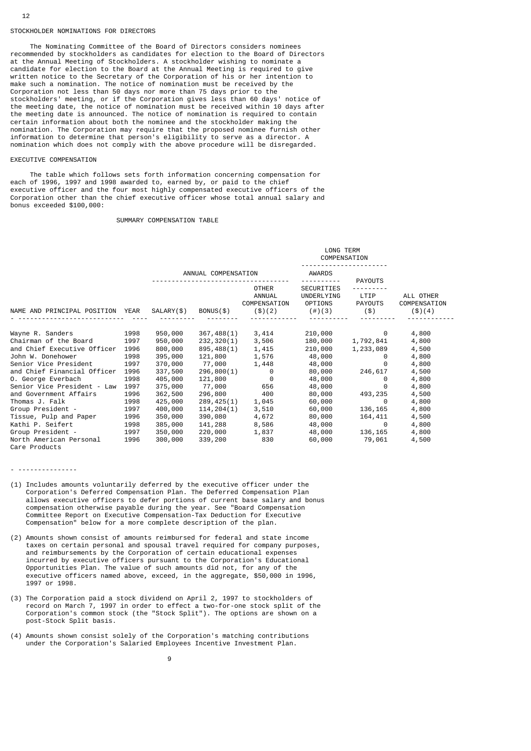#### STOCKHOLDER NOMINATIONS FOR DIRECTORS

 The Nominating Committee of the Board of Directors considers nominees recommended by stockholders as candidates for election to the Board of Directors at the Annual Meeting of Stockholders. A stockholder wishing to nominate a candidate for election to the Board at the Annual Meeting is required to give written notice to the Secretary of the Corporation of his or her intention to make such a nomination. The notice of nomination must be received by the Corporation not less than 50 days nor more than 75 days prior to the stockholders' meeting, or if the Corporation gives less than 60 days' notice of the meeting date, the notice of nomination must be received within 10 days after the meeting date is announced. The notice of nomination is required to contain certain information about both the nominee and the stockholder making the nomination. The Corporation may require that the proposed nominee furnish other information to determine that person's eligibility to serve as a director. A nomination which does not comply with the above procedure will be disregarded.

# EXECUTIVE COMPENSATION

 The table which follows sets forth information concerning compensation for each of 1996, 1997 and 1998 awarded to, earned by, or paid to the chief executive officer and the four most highly compensated executive officers of the Corporation other than the chief executive officer whose total annual salary and bonus exceeded \$100,000:

# SUMMARY COMPENSATION TABLE

|                                  |      |            |                     | LONG TERM<br>COMPENSATION                          |                                                  |                                                     |                                       |  |  |
|----------------------------------|------|------------|---------------------|----------------------------------------------------|--------------------------------------------------|-----------------------------------------------------|---------------------------------------|--|--|
|                                  |      |            | ANNUAL COMPENSATION |                                                    |                                                  |                                                     |                                       |  |  |
| NAME AND PRINCIPAL POSITION YEAR |      | SALARY(\$) | BONUS(\$)           | <b>OTHER</b><br>ANNUAL<br>COMPENSATION<br>( \$)(2) | SECURITIES<br>UNDERLYING<br>OPTIONS<br>$(\#)(3)$ | <b>PAYOUTS</b><br>LTIP<br><b>PAYOUTS</b><br>$($ \$) | ALL OTHER<br>COMPENSATION<br>( \$)(4) |  |  |
| Wayne R. Sanders                 | 1998 | 950,000    | 367,488(1)          | 3,414                                              | 210,000                                          | 0                                                   | 4,800                                 |  |  |
| Chairman of the Board            | 1997 | 950,000    | 232, 320(1)         | 3,506                                              | 180,000                                          | 1,792,841                                           | 4,800                                 |  |  |
| and Chief Executive Officer      | 1996 | 800,000    | 895,488(1)          | 1,415                                              | 210,000                                          | 1,233,089                                           | 4,500                                 |  |  |
| John W. Donehower                | 1998 | 395,000    | 121,800             | 1,576                                              | 48,000                                           | 0                                                   | 4,800                                 |  |  |
| Senior Vice President            | 1997 | 370,000    | 77,000              | 1,448                                              | 48,000                                           | 0                                                   | 4,800                                 |  |  |
| and Chief Financial Officer      | 1996 | 337,500    | 296,800(1)          | 0                                                  | 80,000                                           | 246,617                                             | 4,500                                 |  |  |
| 0. George Everbach               | 1998 | 405,000    | 121,800             | 0                                                  | 48,000                                           | 0                                                   | 4,800                                 |  |  |
| Senior Vice President - Law      | 1997 | 375,000    | 77,000              | 656                                                | 48,000                                           | 0                                                   | 4,800                                 |  |  |
| and Government Affairs           | 1996 | 362,500    | 296,800             | 400                                                | 80,000                                           | 493,235                                             | 4,500                                 |  |  |
| Thomas J. Falk                   | 1998 | 425,000    | 289, 425(1)         | 1,045                                              | 60,000                                           | 0                                                   | 4,800                                 |  |  |
| Group President -                | 1997 | 400,000    | 114, 204(1)         | 3,510                                              | 60,000                                           | 136,165                                             | 4,800                                 |  |  |
| Tissue, Pulp and Paper           | 1996 | 350,000    | 390,080             | 4,672                                              | 80,000                                           | 164,411                                             | 4,500                                 |  |  |
| Kathi P. Seifert                 | 1998 | 385,000    | 141,288             | 8,586                                              | 48,000                                           | 0                                                   | 4,800                                 |  |  |
| Group President -                | 1997 | 350,000    | 220,000             | 1,837                                              | 48,000                                           | 136,165                                             | 4,800                                 |  |  |
| North American Personal          | 1996 | 300,000    | 339,200             | 830                                                | 60,000                                           | 79,061                                              | 4,500                                 |  |  |
| Care Products                    |      |            |                     |                                                    |                                                  |                                                     |                                       |  |  |

- (1) Includes amounts voluntarily deferred by the executive officer under the Corporation's Deferred Compensation Plan. The Deferred Compensation Plan allows executive officers to defer portions of current base salary and bonus compensation otherwise payable during the year. See "Board Compensation Committee Report on Executive Compensation-Tax Deduction for Executive Compensation" below for a more complete description of the plan.
- (2) Amounts shown consist of amounts reimbursed for federal and state income taxes on certain personal and spousal travel required for company purposes, and reimbursements by the Corporation of certain educational expenses incurred by executive officers pursuant to the Corporation's Educational Opportunities Plan. The value of such amounts did not, for any of the executive officers named above, exceed, in the aggregate, \$50,000 in 1996, 1997 or 1998.
- (3) The Corporation paid a stock dividend on April 2, 1997 to stockholders of record on March 7, 1997 in order to effect a two-for-one stock split of the Corporation's common stock (the "Stock Split"). The options are shown on a post-Stock Split basis.
- (4) Amounts shown consist solely of the Corporation's matching contributions under the Corporation's Salaried Employees Incentive Investment Plan.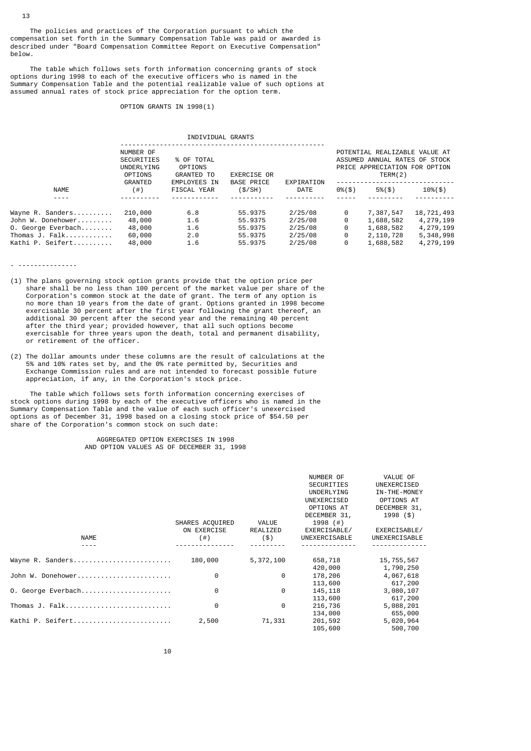The policies and practices of the Corporation pursuant to which the compensation set forth in the Summary Compensation Table was paid or awarded is described under "Board Compensation Committee Report on Executive Compensation" below.

 The table which follows sets forth information concerning grants of stock options during 1998 to each of the executive officers who is named in the Summary Compensation Table and the potential realizable value of such options at assumed annual rates of stock price appreciation for the option term.

### OPTION GRANTS IN 1998(1)

INDIVIDUAL GRANTS

|                    | NUMBER OF<br>% OF TOTAL<br>SECURITIES<br>OPTIONS<br>UNDERLYING<br><b>GRANTED TO</b><br><b>OPTIONS</b> |                                           | <b>EXERCISE OR</b>          |                    | POTENTIAL REALIZABLE VALUE AT<br>ASSUMED ANNUAL RATES OF STOCK<br>PRICE APPRECIATION FOR OPTION<br>TERM(2) |               |                |  |
|--------------------|-------------------------------------------------------------------------------------------------------|-------------------------------------------|-----------------------------|--------------------|------------------------------------------------------------------------------------------------------------|---------------|----------------|--|
| <b>NAME</b>        | GRANTED<br>(#)                                                                                        | <b>EMPLOYEES IN</b><br><b>FISCAL YEAR</b> | <b>BASE PRICE</b><br>(S/SH) | EXPIRATION<br>DATE | $0\%$ $($ \$)                                                                                              | $5\%$ $($ \$) | $10\%$ $($ \$) |  |
|                    |                                                                                                       |                                           |                             |                    |                                                                                                            |               |                |  |
| Wayne R. Sanders   | 210,000                                                                                               | 6.8                                       | 55.9375                     | 2/25/08            | 0                                                                                                          | 7,387,547     | 18,721,493     |  |
| John W. Donehower  | 48,000                                                                                                | 1.6                                       | 55.9375                     | 2/25/08            | 0                                                                                                          | 1,688,582     | 4,279,199      |  |
| O. George Everbach | 48,000                                                                                                | 1.6                                       | 55.9375                     | 2/25/08            | 0                                                                                                          | 1,688,582     | 4,279,199      |  |
| Thomas J. Falk     | 60,000                                                                                                | 2.0                                       | 55.9375                     | 2/25/08            | 0                                                                                                          | 2,110,728     | 5,348,998      |  |
| Kathi P. Seifert   | 48,000                                                                                                | 1.6                                       | 55.9375                     | 2/25/08            | 0                                                                                                          | 1,688,582     | 4,279,199      |  |
|                    |                                                                                                       |                                           |                             |                    |                                                                                                            |               |                |  |

- ---------------

- (1) The plans governing stock option grants provide that the option price per share shall be no less than 100 percent of the market value per share of the Corporation's common stock at the date of grant. The term of any option is no more than 10 years from the date of grant. Options granted in 1998 become exercisable 30 percent after the first year following the grant thereof, an additional 30 percent after the second year and the remaining 40 percent after the third year; provided however, that all such options become exercisable for three years upon the death, total and permanent disability, or retirement of the officer.
- (2) The dollar amounts under these columns are the result of calculations at the 5% and 10% rates set by, and the 0% rate permitted by, Securities and Exchange Commission rules and are not intended to forecast possible future appreciation, if any, in the Corporation's stock price.

 The table which follows sets forth information concerning exercises of stock options during 1998 by each of the executive officers who is named in the Summary Compensation Table and the value of each such officer's unexercised options as of December 31, 1998 based on a closing stock price of \$54.50 per share of the Corporation's common stock on such date:

> AGGREGATED OPTION EXERCISES IN 1998 AND OPTION VALUES AS OF DECEMBER 31, 1998

| <b>NAME</b>        | SHARES ACQUIRED<br>ON EXERCISE<br>$($ # $)$ | VALUE<br>REALIZED<br>(3) | NUMBER OF<br><b>SECURITIES</b><br>UNDERLYING<br>UNEXERCISED<br>OPTIONS AT<br>DECEMBER 31,<br>1998 $($ #)<br>EXERCISABLE/<br>UNEXERCISABLE | VALUE OF<br>UNEXERCISED<br>IN-THE-MONEY<br>OPTIONS AT<br>DECEMBER 31,<br>1998 (\$)<br>EXERCISABLE/<br>UNEXERCISABLE |
|--------------------|---------------------------------------------|--------------------------|-------------------------------------------------------------------------------------------------------------------------------------------|---------------------------------------------------------------------------------------------------------------------|
| Wayne R. Sanders   | 180,000                                     | 5,372,100                | 658,718                                                                                                                                   | 15,755,567                                                                                                          |
|                    |                                             |                          | 420,000                                                                                                                                   | 1,790,250                                                                                                           |
| John W. Donehower  | 0                                           | 0                        | 178,206                                                                                                                                   | 4,067,618                                                                                                           |
|                    |                                             |                          | 113,600                                                                                                                                   | 617,200                                                                                                             |
| 0. George Everbach | 0                                           | 0                        | 145, 118                                                                                                                                  | 3,080,107                                                                                                           |
|                    |                                             |                          | 113,600                                                                                                                                   | 617,200                                                                                                             |
| Thomas J. Falk     | 0                                           | 0                        | 216,736                                                                                                                                   | 5,088,201                                                                                                           |
|                    |                                             |                          | 134,000                                                                                                                                   | 655,000                                                                                                             |
| Kathi P. Seifert   | 2,500                                       | 71,331                   | 201,592                                                                                                                                   | 5,020,964                                                                                                           |
|                    |                                             |                          | 105,600                                                                                                                                   | 500,700                                                                                                             |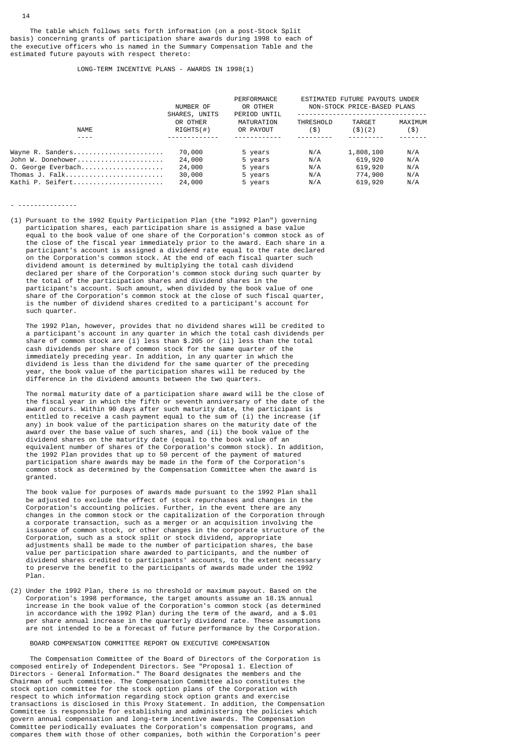The table which follows sets forth information (on a post-Stock Split basis) concerning grants of participation share awards during 1998 to each of the executive officers who is named in the Summary Compensation Table and the estimated future payouts with respect thereto:

### LONG-TERM INCENTIVE PLANS - AWARDS IN 1998(1)

|                    | NUMBER OF<br>SHARES, UNITS | PERFORMANCE<br>OR OTHER<br>PERIOD UNTIL | ESTIMATED FUTURE PAYOUTS UNDER<br>NON-STOCK PRICE-BASED PLANS |           |         |
|--------------------|----------------------------|-----------------------------------------|---------------------------------------------------------------|-----------|---------|
|                    | OR OTHER                   | MATURATION                              | THRESHOLD                                                     | TARGET    | MAXIMUM |
| NAME               | RIGHTS(H)                  | OR PAYOUT                               | $($ \$)                                                       | ( \$)(2)  | $($ \$) |
|                    |                            |                                         |                                                               |           |         |
| Wayne R. Sanders   | 70,000                     | 5 years                                 | N/A                                                           | 1,808,100 | N/A     |
| John W. Donehower  | 24,000                     | 5 years                                 | N/A                                                           | 619,920   | N/A     |
| 0. George Everbach | 24,000                     | 5 years                                 | N/A                                                           | 619,920   | N/A     |
| Thomas J. Falk     | 30,000                     | 5 years                                 | N/A                                                           | 774,900   | N/A     |
| Kathi P. Seifert   | 24,000                     | 5 years                                 | N/A                                                           | 619,920   | N/A     |

- ---------------

(1) Pursuant to the 1992 Equity Participation Plan (the "1992 Plan") governing participation shares, each participation share is assigned a base value equal to the book value of one share of the Corporation's common stock as of the close of the fiscal year immediately prior to the award. Each share in a participant's account is assigned a dividend rate equal to the rate declared on the Corporation's common stock. At the end of each fiscal quarter such dividend amount is determined by multiplying the total cash dividend declared per share of the Corporation's common stock during such quarter by the total of the participation shares and dividend shares in the participant's account. Such amount, when divided by the book value of one share of the Corporation's common stock at the close of such fiscal quarter, is the number of dividend shares credited to a participant's account for such quarter.

 The 1992 Plan, however, provides that no dividend shares will be credited to a participant's account in any quarter in which the total cash dividends per share of common stock are (i) less than \$.205 or (ii) less than the total cash dividends per share of common stock for the same quarter of the immediately preceding year. In addition, in any quarter in which the dividend is less than the dividend for the same quarter of the preceding year, the book value of the participation shares will be reduced by the difference in the dividend amounts between the two quarters.

 The normal maturity date of a participation share award will be the close of the fiscal year in which the fifth or seventh anniversary of the date of the award occurs. Within 90 days after such maturity date, the participant is entitled to receive a cash payment equal to the sum of (i) the increase (if any) in book value of the participation shares on the maturity date of the award over the base value of such shares, and (ii) the book value of the dividend shares on the maturity date (equal to the book value of an equivalent number of shares of the Corporation's common stock). In addition, the 1992 Plan provides that up to 50 percent of the payment of matured participation share awards may be made in the form of the Corporation's common stock as determined by the Compensation Committee when the award is granted.

 The book value for purposes of awards made pursuant to the 1992 Plan shall be adjusted to exclude the effect of stock repurchases and changes in the Corporation's accounting policies. Further, in the event there are any changes in the common stock or the capitalization of the Corporation through a corporate transaction, such as a merger or an acquisition involving the issuance of common stock, or other changes in the corporate structure of the Corporation, such as a stock split or stock dividend, appropriate adjustments shall be made to the number of participation shares, the base value per participation share awarded to participants, and the number of dividend shares credited to participants' accounts, to the extent necessary to preserve the benefit to the participants of awards made under the 1992 Plan.

(2) Under the 1992 Plan, there is no threshold or maximum payout. Based on the Corporation's 1998 performance, the target amounts assume an 18.1% annual increase in the book value of the Corporation's common stock (as determined in accordance with the 1992 Plan) during the term of the award, and a \$.01 per share annual increase in the quarterly dividend rate. These assumptions are not intended to be a forecast of future performance by the Corporation.

### BOARD COMPENSATION COMMITTEE REPORT ON EXECUTIVE COMPENSATION

 The Compensation Committee of the Board of Directors of the Corporation is composed entirely of Independent Directors. See "Proposal 1. Election of Directors - General Information." The Board designates the members and the Chairman of such committee. The Compensation Committee also constitutes the stock option committee for the stock option plans of the Corporation with respect to which information regarding stock option grants and exercise transactions is disclosed in this Proxy Statement. In addition, the Compensation Committee is responsible for establishing and administering the policies which govern annual compensation and long-term incentive awards. The Compensation Committee periodically evaluates the Corporation's compensation programs, and compares them with those of other companies, both within the Corporation's peer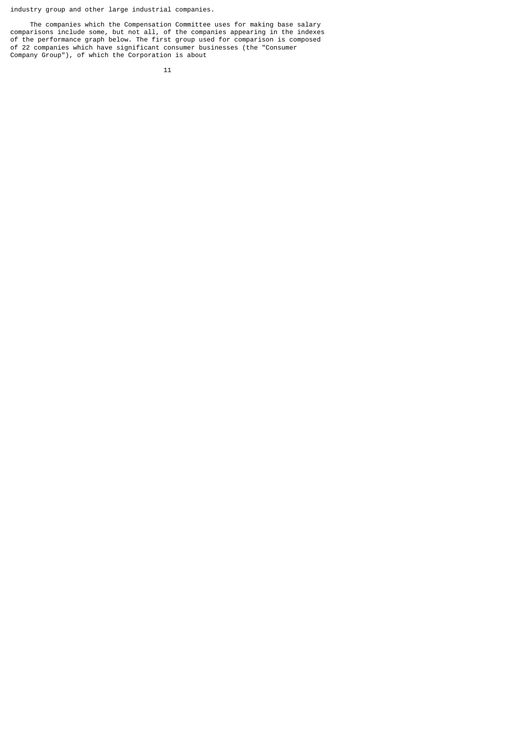industry group and other large industrial companies.

 The companies which the Compensation Committee uses for making base salary comparisons include some, but not all, of the companies appearing in the indexes of the performance graph below. The first group used for comparison is composed of 22 companies which have significant consumer businesses (the "Consumer Company Group"), of which the Corporation is about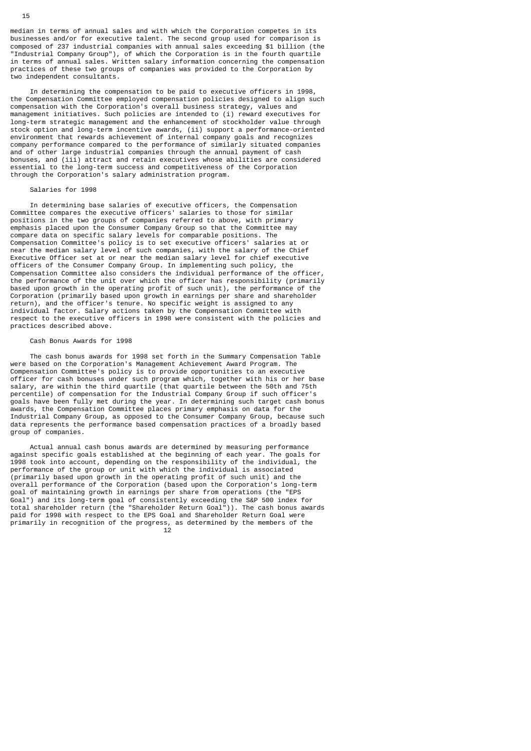median in terms of annual sales and with which the Corporation competes in its businesses and/or for executive talent. The second group used for comparison is composed of 237 industrial companies with annual sales exceeding \$1 billion (the "Industrial Company Group"), of which the Corporation is in the fourth quartile in terms of annual sales. Written salary information concerning the compensation practices of these two groups of companies was provided to the Corporation by two independent consultants.

 In determining the compensation to be paid to executive officers in 1998, the Compensation Committee employed compensation policies designed to align such compensation with the Corporation's overall business strategy, values and management initiatives. Such policies are intended to (i) reward executives for long-term strategic management and the enhancement of stockholder value through stock option and long-term incentive awards, (ii) support a performance-oriented environment that rewards achievement of internal company goals and recognizes company performance compared to the performance of similarly situated companies and of other large industrial companies through the annual payment of cash bonuses, and (iii) attract and retain executives whose abilities are considered essential to the long-term success and competitiveness of the Corporation through the Corporation's salary administration program.

### Salaries for 1998

 In determining base salaries of executive officers, the Compensation Committee compares the executive officers' salaries to those for similar positions in the two groups of companies referred to above, with primary emphasis placed upon the Consumer Company Group so that the Committee may compare data on specific salary levels for comparable positions. The Compensation Committee's policy is to set executive officers' salaries at or near the median salary level of such companies, with the salary of the Chief Executive Officer set at or near the median salary level for chief executive officers of the Consumer Company Group. In implementing such policy, the Compensation Committee also considers the individual performance of the officer, the performance of the unit over which the officer has responsibility (primarily based upon growth in the operating profit of such unit), the performance of the Corporation (primarily based upon growth in earnings per share and shareholder return), and the officer's tenure. No specific weight is assigned to any individual factor. Salary actions taken by the Compensation Committee with respect to the executive officers in 1998 were consistent with the policies and practices described above.

### Cash Bonus Awards for 1998

 The cash bonus awards for 1998 set forth in the Summary Compensation Table were based on the Corporation's Management Achievement Award Program. The Compensation Committee's policy is to provide opportunities to an executive officer for cash bonuses under such program which, together with his or her base salary, are within the third quartile (that quartile between the 50th and 75th percentile) of compensation for the Industrial Company Group if such officer's goals have been fully met during the year. In determining such target cash bonus awards, the Compensation Committee places primary emphasis on data for the Industrial Company Group, as opposed to the Consumer Company Group, because such data represents the performance based compensation practices of a broadly based group of companies.

 Actual annual cash bonus awards are determined by measuring performance against specific goals established at the beginning of each year. The goals for 1998 took into account, depending on the responsibility of the individual, the performance of the group or unit with which the individual is associated (primarily based upon growth in the operating profit of such unit) and the overall performance of the Corporation (based upon the Corporation's long-term goal of maintaining growth in earnings per share from operations (the "EPS Goal") and its long-term goal of consistently exceeding the S&P 500 index for total shareholder return (the "Shareholder Return Goal")). The cash bonus awards paid for 1998 with respect to the EPS Goal and Shareholder Return Goal were primarily in recognition of the progress, as determined by the members of the 12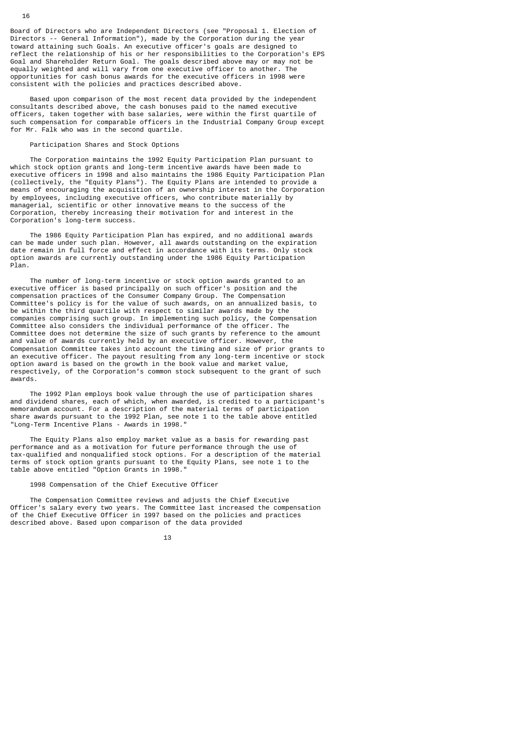Board of Directors who are Independent Directors (see "Proposal 1. Election of Directors -- General Information"), made by the Corporation during the vear toward attaining such Goals. An executive officer's goals are designed to reflect the relationship of his or her responsibilities to the Corporation's EPS Goal and Shareholder Return Goal. The goals described above may or may not be equally weighted and will vary from one executive officer to another. The opportunities for cash bonus awards for the executive officers in 1998 were consistent with the policies and practices described above.

 Based upon comparison of the most recent data provided by the independent consultants described above, the cash bonuses paid to the named executive officers, taken together with base salaries, were within the first quartile of such compensation for comparable officers in the Industrial Company Group except for Mr. Falk who was in the second quartile.

# Participation Shares and Stock Options

 The Corporation maintains the 1992 Equity Participation Plan pursuant to which stock option grants and long-term incentive awards have been made to executive officers in 1998 and also maintains the 1986 Equity Participation Plan (collectively, the "Equity Plans"). The Equity Plans are intended to provide a means of encouraging the acquisition of an ownership interest in the Corporation by employees, including executive officers, who contribute materially by managerial, scientific or other innovative means to the success of the Corporation, thereby increasing their motivation for and interest in the Corporation's long-term success.

 The 1986 Equity Participation Plan has expired, and no additional awards can be made under such plan. However, all awards outstanding on the expiration date remain in full force and effect in accordance with its terms. Only stock option awards are currently outstanding under the 1986 Equity Participation Plan.

 The number of long-term incentive or stock option awards granted to an executive officer is based principally on such officer's position and the compensation practices of the Consumer Company Group. The Compensation Committee's policy is for the value of such awards, on an annualized basis, to be within the third quartile with respect to similar awards made by the companies comprising such group. In implementing such policy, the Compensation Committee also considers the individual performance of the officer. The Committee does not determine the size of such grants by reference to the amount and value of awards currently held by an executive officer. However, the Compensation Committee takes into account the timing and size of prior grants to an executive officer. The payout resulting from any long-term incentive or stock option award is based on the growth in the book value and market value, respectively, of the Corporation's common stock subsequent to the grant of such awards.

 The 1992 Plan employs book value through the use of participation shares and dividend shares, each of which, when awarded, is credited to a participant's memorandum account. For a description of the material terms of participation share awards pursuant to the 1992 Plan, see note 1 to the table above entitled "Long-Term Incentive Plans - Awards in 1998."

 The Equity Plans also employ market value as a basis for rewarding past performance and as a motivation for future performance through the use of tax-qualified and nonqualified stock options. For a description of the material terms of stock option grants pursuant to the Equity Plans, see note 1 to the table above entitled "Option Grants in 1998."

### 1998 Compensation of the Chief Executive Officer

 The Compensation Committee reviews and adjusts the Chief Executive Officer's salary every two years. The Committee last increased the compensation of the Chief Executive Officer in 1997 based on the policies and practices described above. Based upon comparison of the data provided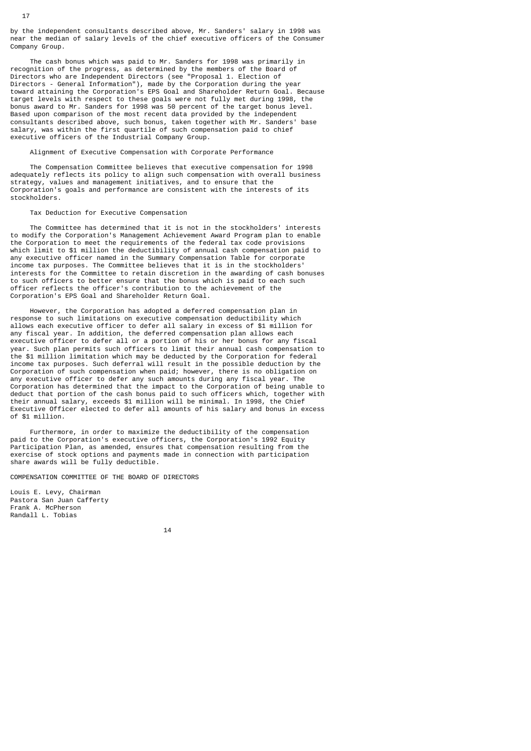by the independent consultants described above, Mr. Sanders' salary in 1998 was near the median of salary levels of the chief executive officers of the Consumer Company Group.

 The cash bonus which was paid to Mr. Sanders for 1998 was primarily in recognition of the progress, as determined by the members of the Board of Directors who are Independent Directors (see "Proposal 1. Election of Directors - General Information"), made by the Corporation during the year toward attaining the Corporation's EPS Goal and Shareholder Return Goal. Because target levels with respect to these goals were not fully met during 1998, the bonus award to Mr. Sanders for 1998 was 50 percent of the target bonus level. Based upon comparison of the most recent data provided by the independent consultants described above, such bonus, taken together with Mr. Sanders' base salary, was within the first quartile of such compensation paid to chief executive officers of the Industrial Company Group.

## Alignment of Executive Compensation with Corporate Performance

 The Compensation Committee believes that executive compensation for 1998 adequately reflects its policy to align such compensation with overall business strategy, values and management initiatives, and to ensure that the Corporation's goals and performance are consistent with the interests of its stockholders.

## Tax Deduction for Executive Compensation

 The Committee has determined that it is not in the stockholders' interests to modify the Corporation's Management Achievement Award Program plan to enable the Corporation to meet the requirements of the federal tax code provisions which limit to \$1 million the deductibility of annual cash compensation paid to any executive officer named in the Summary Compensation Table for corporate income tax purposes. The Committee believes that it is in the stockholders' interests for the Committee to retain discretion in the awarding of cash bonuses to such officers to better ensure that the bonus which is paid to each such officer reflects the officer's contribution to the achievement of the Corporation's EPS Goal and Shareholder Return Goal.

 However, the Corporation has adopted a deferred compensation plan in response to such limitations on executive compensation deductibility which allows each executive officer to defer all salary in excess of \$1 million for any fiscal year. In addition, the deferred compensation plan allows each executive officer to defer all or a portion of his or her bonus for any fiscal year. Such plan permits such officers to limit their annual cash compensation to the \$1 million limitation which may be deducted by the Corporation for federal income tax purposes. Such deferral will result in the possible deduction by the Corporation of such compensation when paid; however, there is no obligation on any executive officer to defer any such amounts during any fiscal year. The Corporation has determined that the impact to the Corporation of being unable to deduct that portion of the cash bonus paid to such officers which, together with their annual salary, exceeds \$1 million will be minimal. In 1998, the Chief Executive Officer elected to defer all amounts of his salary and bonus in excess of \$1 million.

 Furthermore, in order to maximize the deductibility of the compensation paid to the Corporation's executive officers, the Corporation's 1992 Equity Participation Plan, as amended, ensures that compensation resulting from the exercise of stock options and payments made in connection with participation share awards will be fully deductible.

COMPENSATION COMMITTEE OF THE BOARD OF DIRECTORS

Louis E. Levy, Chairman Pastora San Juan Cafferty Frank A. McPherson Randall L. Tobias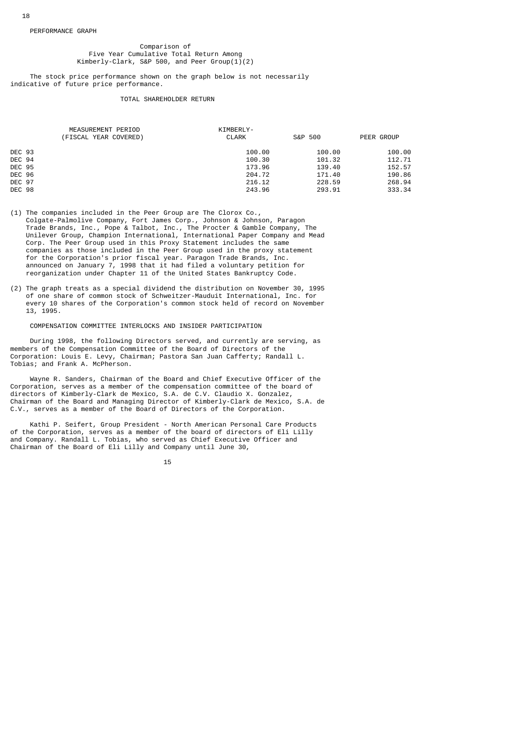#### PERFORMANCE GRAPH

### Comparison of Five Year Cumulative Total Return Among Kimberly-Clark, S&P 500, and Peer Group(1)(2)

 The stock price performance shown on the graph below is not necessarily indicative of future price performance.

### TOTAL SHAREHOLDER RETURN

|               | MEASUREMENT PERIOD    | KIMBERLY-    |         |            |
|---------------|-----------------------|--------------|---------|------------|
|               | (FISCAL YEAR COVERED) | <b>CLARK</b> | S&P 500 | PEER GROUP |
| <b>DEC 93</b> |                       | 100.00       | 100.00  | 100.00     |
| DEC 94        |                       | 100.30       | 101.32  | 112.71     |
| <b>DEC 95</b> |                       | 173.96       | 139.40  | 152.57     |
| <b>DEC 96</b> |                       | 204.72       | 171.40  | 190.86     |
| <b>DEC 97</b> |                       | 216.12       | 228.59  | 268.94     |
| <b>DEC 98</b> |                       | 243.96       | 293.91  | 333.34     |

- (1) The companies included in the Peer Group are The Clorox Co., Colgate-Palmolive Company, Fort James Corp., Johnson & Johnson, Paragon Trade Brands, Inc., Pope & Talbot, Inc., The Procter & Gamble Company, The Unilever Group, Champion International, International Paper Company and Mead Corp. The Peer Group used in this Proxy Statement includes the same companies as those included in the Peer Group used in the proxy statement for the Corporation's prior fiscal year. Paragon Trade Brands, Inc. announced on January 7, 1998 that it had filed a voluntary petition for reorganization under Chapter 11 of the United States Bankruptcy Code.
- (2) The graph treats as a special dividend the distribution on November 30, 1995 of one share of common stock of Schweitzer-Mauduit International, Inc. for every 10 shares of the Corporation's common stock held of record on November 13, 1995.

# COMPENSATION COMMITTEE INTERLOCKS AND INSIDER PARTICIPATION

 During 1998, the following Directors served, and currently are serving, as members of the Compensation Committee of the Board of Directors of the Corporation: Louis E. Levy, Chairman; Pastora San Juan Cafferty; Randall L. Tobias; and Frank A. McPherson.

 Wayne R. Sanders, Chairman of the Board and Chief Executive Officer of the Corporation, serves as a member of the compensation committee of the board of directors of Kimberly-Clark de Mexico, S.A. de C.V. Claudio X. Gonzalez, Chairman of the Board and Managing Director of Kimberly-Clark de Mexico, S.A. de C.V., serves as a member of the Board of Directors of the Corporation.

 Kathi P. Seifert, Group President - North American Personal Care Products of the Corporation, serves as a member of the board of directors of Eli Lilly and Company. Randall L. Tobias, who served as Chief Executive Officer and Chairman of the Board of Eli Lilly and Company until June 30,

15 and 15 and 15 and 15 and 15 and 15 and 15 and 15 and 15 and 15 and 15 and 15 and 15 and 15 and 15 and 15 an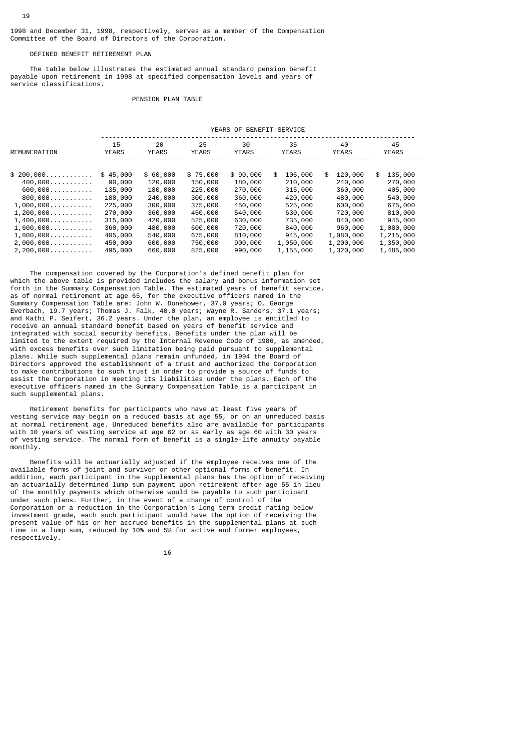## DEFINED BENEFIT RETIREMENT PLAN

19

 The table below illustrates the estimated annual standard pension benefit payable upon retirement in 1998 at specified compensation levels and years of service classifications.

#### PENSION PLAN TABLE

|                                                                                                                                                                                                                            | YEARS OF BENEFIT SERVICE                                                                                              |                                                                                                                        |                                                                                                                        |                                                                                                                        |                                                                                                                                 |                                                                                                                                   |                                                                                                                                     |
|----------------------------------------------------------------------------------------------------------------------------------------------------------------------------------------------------------------------------|-----------------------------------------------------------------------------------------------------------------------|------------------------------------------------------------------------------------------------------------------------|------------------------------------------------------------------------------------------------------------------------|------------------------------------------------------------------------------------------------------------------------|---------------------------------------------------------------------------------------------------------------------------------|-----------------------------------------------------------------------------------------------------------------------------------|-------------------------------------------------------------------------------------------------------------------------------------|
| REMUNERATION                                                                                                                                                                                                               | 15<br><b>YEARS</b>                                                                                                    | 20<br><b>YEARS</b>                                                                                                     | 25<br><b>YEARS</b>                                                                                                     | 30<br><b>YEARS</b>                                                                                                     | 35<br><b>YEARS</b>                                                                                                              | 40<br><b>YEARS</b>                                                                                                                | 45<br><b>YEARS</b>                                                                                                                  |
| $$200,000$<br>$400,000$<br>600,000<br>800,000<br>1,000,000<br>$1, 200, 000, \ldots, \ldots, \ldots$<br>$1,400,000\dots\dots\dots\dots$<br>1,600,000<br>$1,800,000$<br>$2,000,000$<br>$2, 200, 000, \ldots, \ldots, \ldots$ | \$45,000<br>90,000<br>135,000<br>180,000<br>225,000<br>270,000<br>315,000<br>360,000<br>405,000<br>450,000<br>495,000 | \$60,000<br>120,000<br>180,000<br>240,000<br>300,000<br>360,000<br>420,000<br>480,000<br>540,000<br>600,000<br>660,000 | \$75,000<br>150,000<br>225,000<br>300,000<br>375,000<br>450,000<br>525,000<br>600,000<br>675,000<br>750,000<br>825,000 | \$90,000<br>180,000<br>270,000<br>360,000<br>450,000<br>540,000<br>630,000<br>720,000<br>810,000<br>900,000<br>990,000 | \$<br>105,000<br>210,000<br>315,000<br>420,000<br>525,000<br>630,000<br>735,000<br>840,000<br>945,000<br>1,050,000<br>1,155,000 | \$<br>120,000<br>240,000<br>360,000<br>480,000<br>600,000<br>720,000<br>840,000<br>960,000<br>1,080,000<br>1,200,000<br>1,320,000 | 135,000<br>\$<br>270,000<br>405,000<br>540,000<br>675,000<br>810,000<br>945,000<br>1,080,000<br>1,215,000<br>1,350,000<br>1,485,000 |

 The compensation covered by the Corporation's defined benefit plan for which the above table is provided includes the salary and bonus information set forth in the Summary Compensation Table. The estimated years of benefit service, as of normal retirement at age 65, for the executive officers named in the Summary Compensation Table are: John W. Donehower, 37.0 years; O. George Everbach, 19.7 years; Thomas J. Falk, 40.0 years; Wayne R. Sanders, 37.1 years; and Kathi P. Seifert, 36.2 years. Under the plan, an employee is entitled to receive an annual standard benefit based on years of benefit service and integrated with social security benefits. Benefits under the plan will be limited to the extent required by the Internal Revenue Code of 1986, as amended, with excess benefits over such limitation being paid pursuant to supplemental plans. While such supplemental plans remain unfunded, in 1994 the Board of Directors approved the establishment of a trust and authorized the Corporation to make contributions to such trust in order to provide a source of funds to assist the Corporation in meeting its liabilities under the plans. Each of the executive officers named in the Summary Compensation Table is a participant in such supplemental plans.

 Retirement benefits for participants who have at least five years of vesting service may begin on a reduced basis at age 55, or on an unreduced basis at normal retirement age. Unreduced benefits also are available for participants with 10 years of vesting service at age 62 or as early as age 60 with 30 years of vesting service. The normal form of benefit is a single-life annuity payable monthly.

 Benefits will be actuarially adjusted if the employee receives one of the available forms of joint and survivor or other optional forms of benefit. In addition, each participant in the supplemental plans has the option of receiving an actuarially determined lump sum payment upon retirement after age 55 in lieu of the monthly payments which otherwise would be payable to such participant under such plans. Further, in the event of a change of control of the Corporation or a reduction in the Corporation's long-term credit rating below investment grade, each such participant would have the option of receiving the present value of his or her accrued benefits in the supplemental plans at such time in a lump sum, reduced by 10% and 5% for active and former employees, respectively.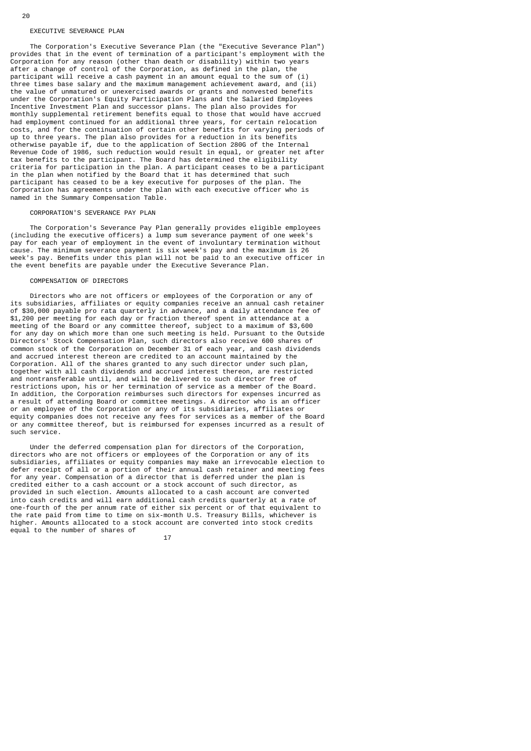#### EXECUTIVE SEVERANCE PLAN

 The Corporation's Executive Severance Plan (the "Executive Severance Plan") provides that in the event of termination of a participant's employment with the Corporation for any reason (other than death or disability) within two years after a change of control of the Corporation, as defined in the plan, the participant will receive a cash payment in an amount equal to the sum of (i) three times base salary and the maximum management achievement award, and (ii) the value of unmatured or unexercised awards or grants and nonvested benefits under the Corporation's Equity Participation Plans and the Salaried Employees Incentive Investment Plan and successor plans. The plan also provides for monthly supplemental retirement benefits equal to those that would have accrued had employment continued for an additional three years, for certain relocation costs, and for the continuation of certain other benefits for varying periods of up to three years. The plan also provides for a reduction in its benefits otherwise payable if, due to the application of Section 280G of the Internal Revenue Code of 1986, such reduction would result in equal, or greater net after tax benefits to the participant. The Board has determined the eligibility criteria for participation in the plan. A participant ceases to be a participant in the plan when notified by the Board that it has determined that such participant has ceased to be a key executive for purposes of the plan. The Corporation has agreements under the plan with each executive officer who is named in the Summary Compensation Table.

#### CORPORATION'S SEVERANCE PAY PLAN

 The Corporation's Severance Pay Plan generally provides eligible employees (including the executive officers) a lump sum severance payment of one week's pay for each year of employment in the event of involuntary termination without cause. The minimum severance payment is six week's pay and the maximum is 26 week's pay. Benefits under this plan will not be paid to an executive officer in the event benefits are payable under the Executive Severance Plan.

### COMPENSATION OF DIRECTORS

 Directors who are not officers or employees of the Corporation or any of its subsidiaries, affiliates or equity companies receive an annual cash retainer of \$30,000 payable pro rata quarterly in advance, and a daily attendance fee of \$1,200 per meeting for each day or fraction thereof spent in attendance at a meeting of the Board or any committee thereof, subject to a maximum of \$3,600 for any day on which more than one such meeting is held. Pursuant to the Outside Directors' Stock Compensation Plan, such directors also receive 600 shares of common stock of the Corporation on December 31 of each year, and cash dividends and accrued interest thereon are credited to an account maintained by the Corporation. All of the shares granted to any such director under such plan, together with all cash dividends and accrued interest thereon, are restricted and nontransferable until, and will be delivered to such director free of restrictions upon, his or her termination of service as a member of the Board. In addition, the Corporation reimburses such directors for expenses incurred as a result of attending Board or committee meetings. A director who is an officer or an employee of the Corporation or any of its subsidiaries, affiliates or equity companies does not receive any fees for services as a member of the Board or any committee thereof, but is reimbursed for expenses incurred as a result of such service.

 Under the deferred compensation plan for directors of the Corporation, directors who are not officers or employees of the Corporation or any of its subsidiaries, affiliates or equity companies may make an irrevocable election to defer receipt of all or a portion of their annual cash retainer and meeting fees for any year. Compensation of a director that is deferred under the plan is credited either to a cash account or a stock account of such director, as provided in such election. Amounts allocated to a cash account are converted into cash credits and will earn additional cash credits quarterly at a rate of one-fourth of the per annum rate of either six percent or of that equivalent to the rate paid from time to time on six-month U.S. Treasury Bills, whichever is higher. Amounts allocated to a stock account are converted into stock credits equal to the number of shares of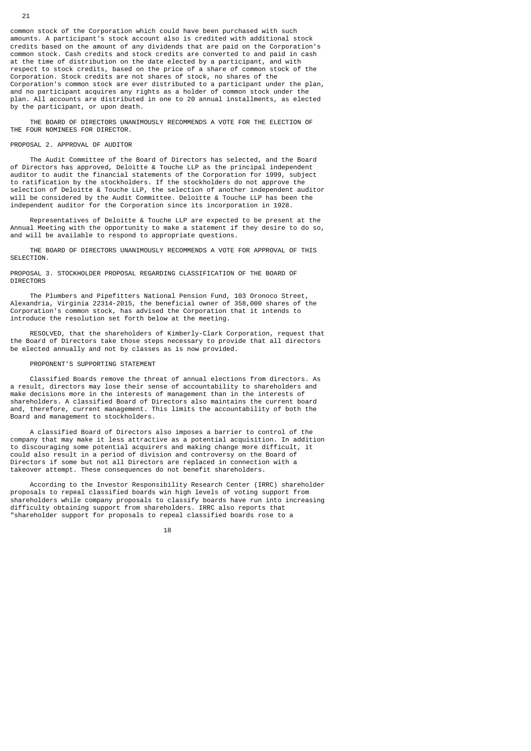common stock of the Corporation which could have been purchased with such amounts. A participant's stock account also is credited with additional stock credits based on the amount of any dividends that are paid on the Corporation's common stock. Cash credits and stock credits are converted to and paid in cash at the time of distribution on the date elected by a participant, and with respect to stock credits, based on the price of a share of common stock of the Corporation. Stock credits are not shares of stock, no shares of the Corporation's common stock are ever distributed to a participant under the plan, and no participant acquires any rights as a holder of common stock under the plan. All accounts are distributed in one to 20 annual installments, as elected by the participant, or upon death.

 THE BOARD OF DIRECTORS UNANIMOUSLY RECOMMENDS A VOTE FOR THE ELECTION OF THE FOUR NOMINEES FOR DIRECTOR.

### PROPOSAL 2. APPROVAL OF AUDITOR

 The Audit Committee of the Board of Directors has selected, and the Board of Directors has approved, Deloitte & Touche LLP as the principal independent auditor to audit the financial statements of the Corporation for 1999, subject to ratification by the stockholders. If the stockholders do not approve the selection of Deloitte & Touche LLP, the selection of another independent auditor will be considered by the Audit Committee. Deloitte & Touche LLP has been the independent auditor for the Corporation since its incorporation in 1928.

 Representatives of Deloitte & Touche LLP are expected to be present at the Annual Meeting with the opportunity to make a statement if they desire to do so, and will be available to respond to appropriate questions.

 THE BOARD OF DIRECTORS UNANIMOUSLY RECOMMENDS A VOTE FOR APPROVAL OF THIS SELECTION.

PROPOSAL 3. STOCKHOLDER PROPOSAL REGARDING CLASSIFICATION OF THE BOARD OF **DIRECTORS** 

 The Plumbers and Pipefitters National Pension Fund, 103 Oronoco Street, Alexandria, Virginia 22314-2015, the beneficial owner of 358,000 shares of the Corporation's common stock, has advised the Corporation that it intends to introduce the resolution set forth below at the meeting.

 RESOLVED, that the shareholders of Kimberly-Clark Corporation, request that the Board of Directors take those steps necessary to provide that all directors be elected annually and not by classes as is now provided.

### PROPONENT'S SUPPORTING STATEMENT

 Classified Boards remove the threat of annual elections from directors. As a result, directors may lose their sense of accountability to shareholders and make decisions more in the interests of management than in the interests of shareholders. A classified Board of Directors also maintains the current board and, therefore, current management. This limits the accountability of both the Board and management to stockholders.

 A classified Board of Directors also imposes a barrier to control of the company that may make it less attractive as a potential acquisition. In addition to discouraging some potential acquirers and making change more difficult, it could also result in a period of division and controversy on the Board of Directors if some but not all Directors are replaced in connection with a takeover attempt. These consequences do not benefit shareholders.

 According to the Investor Responsibility Research Center (IRRC) shareholder proposals to repeal classified boards win high levels of voting support from shareholders while company proposals to classify boards have run into increasing difficulty obtaining support from shareholders. IRRC also reports that "shareholder support for proposals to repeal classified boards rose to a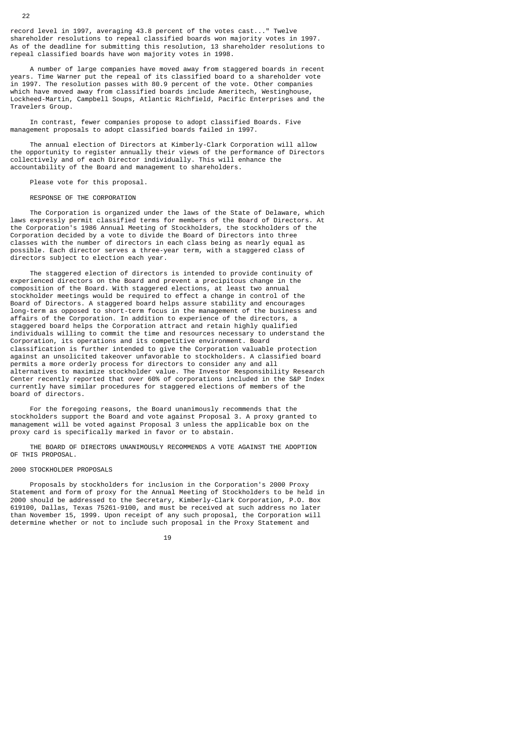record level in 1997, averaging 43.8 percent of the votes cast..." Twelve shareholder resolutions to repeal classified boards won majority votes in 1997. As of the deadline for submitting this resolution, 13 shareholder resolutions to repeal classified boards have won majority votes in 1998.

 A number of large companies have moved away from staggered boards in recent years. Time Warner put the repeal of its classified board to a shareholder vote in 1997. The resolution passes with 80.9 percent of the vote. Other companies which have moved away from classified boards include Ameritech, Westinghouse, Lockheed-Martin, Campbell Soups, Atlantic Richfield, Pacific Enterprises and the Travelers Group.

 In contrast, fewer companies propose to adopt classified Boards. Five management proposals to adopt classified boards failed in 1997.

 The annual election of Directors at Kimberly-Clark Corporation will allow the opportunity to register annually their views of the performance of Directors collectively and of each Director individually. This will enhance the accountability of the Board and management to shareholders.

Please vote for this proposal.

RESPONSE OF THE CORPORATION

 The Corporation is organized under the laws of the State of Delaware, which laws expressly permit classified terms for members of the Board of Directors. At the Corporation's 1986 Annual Meeting of Stockholders, the stockholders of the Corporation decided by a vote to divide the Board of Directors into three classes with the number of directors in each class being as nearly equal as possible. Each director serves a three-year term, with a staggered class of directors subject to election each year.

 The staggered election of directors is intended to provide continuity of experienced directors on the Board and prevent a precipitous change in the composition of the Board. With staggered elections, at least two annual stockholder meetings would be required to effect a change in control of the Board of Directors. A staggered board helps assure stability and encourages long-term as opposed to short-term focus in the management of the business and affairs of the Corporation. In addition to experience of the directors, a staggered board helps the Corporation attract and retain highly qualified individuals willing to commit the time and resources necessary to understand the Corporation, its operations and its competitive environment. Board classification is further intended to give the Corporation valuable protection against an unsolicited takeover unfavorable to stockholders. A classified board permits a more orderly process for directors to consider any and all alternatives to maximize stockholder value. The Investor Responsibility Research Center recently reported that over 60% of corporations included in the S&P Index currently have similar procedures for staggered elections of members of the board of directors.

 For the foregoing reasons, the Board unanimously recommends that the stockholders support the Board and vote against Proposal 3. A proxy granted to management will be voted against Proposal 3 unless the applicable box on the proxy card is specifically marked in favor or to abstain.

 THE BOARD OF DIRECTORS UNANIMOUSLY RECOMMENDS A VOTE AGAINST THE ADOPTION OF THIS PROPOSAL.

#### 2000 STOCKHOLDER PROPOSALS

 Proposals by stockholders for inclusion in the Corporation's 2000 Proxy Statement and form of proxy for the Annual Meeting of Stockholders to be held in 2000 should be addressed to the Secretary, Kimberly-Clark Corporation, P.O. Box 619100, Dallas, Texas 75261-9100, and must be received at such address no later than November 15, 1999. Upon receipt of any such proposal, the Corporation will determine whether or not to include such proposal in the Proxy Statement and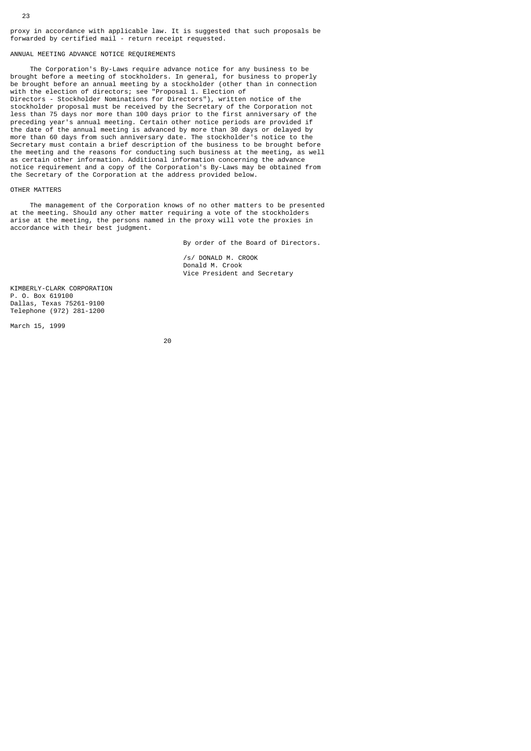proxy in accordance with applicable law. It is suggested that such proposals be forwarded by certified mail - return receipt requested.

### ANNUAL MEETING ADVANCE NOTICE REQUIREMENTS

 The Corporation's By-Laws require advance notice for any business to be brought before a meeting of stockholders. In general, for business to properly be brought before an annual meeting by a stockholder (other than in connection with the election of directors; see "Proposal 1. Election of Directors - Stockholder Nominations for Directors"), written notice of the stockholder proposal must be received by the Secretary of the Corporation not less than 75 days nor more than 100 days prior to the first anniversary of the preceding year's annual meeting. Certain other notice periods are provided if the date of the annual meeting is advanced by more than 30 days or delayed by more than 60 days from such anniversary date. The stockholder's notice to the Secretary must contain a brief description of the business to be brought before the meeting and the reasons for conducting such business at the meeting, as well as certain other information. Additional information concerning the advance notice requirement and a copy of the Corporation's By-Laws may be obtained from the Secretary of the Corporation at the address provided below.

#### OTHER MATTERS

 The management of the Corporation knows of no other matters to be presented at the meeting. Should any other matter requiring a vote of the stockholders arise at the meeting, the persons named in the proxy will vote the proxies in accordance with their best judgment.

By order of the Board of Directors.

 /s/ DONALD M. CROOK Donald M. Crook Vice President and Secretary

KIMBERLY-CLARK CORPORATION P. O. Box 619100 Dallas, Texas 75261-9100 Telephone (972) 281-1200

March 15, 1999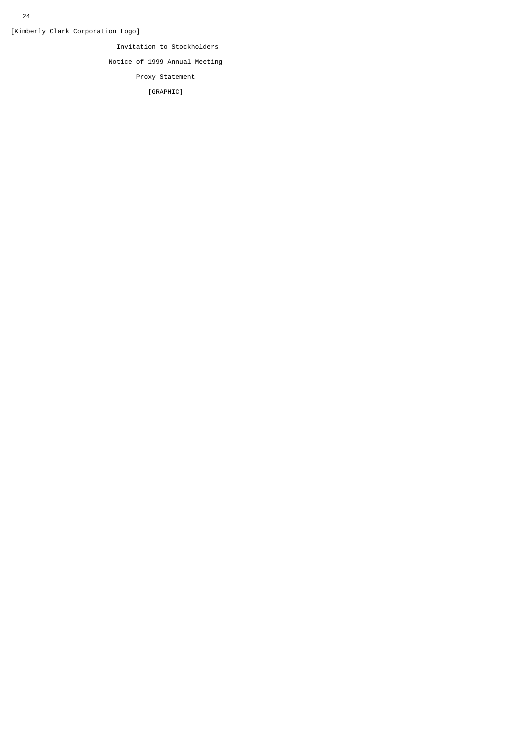[Kimberly Clark Corporation Logo]

Invitation to Stockholders

Notice of 1999 Annual Meeting

Proxy Statement

[GRAPHIC]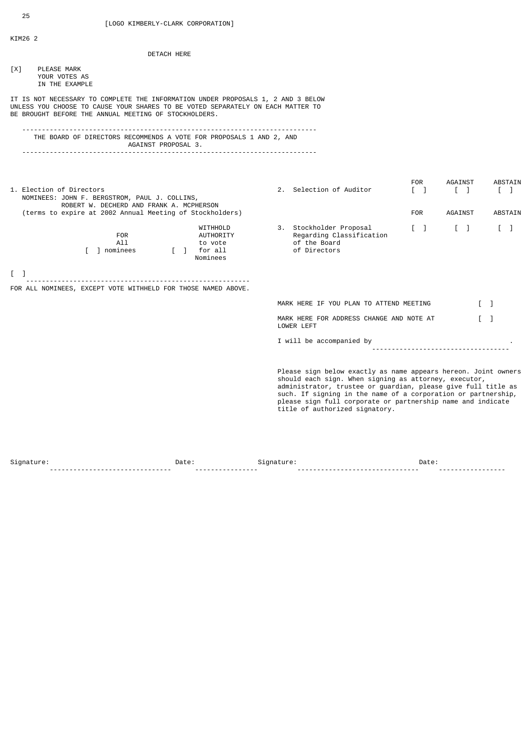KIM26 2

|     | <b>DETACH HERE</b>                                                                                                                                                                                                           |                                                                                                                                                                                                                                                                                                                                                            |                                                                    |                                                         |                                                |
|-----|------------------------------------------------------------------------------------------------------------------------------------------------------------------------------------------------------------------------------|------------------------------------------------------------------------------------------------------------------------------------------------------------------------------------------------------------------------------------------------------------------------------------------------------------------------------------------------------------|--------------------------------------------------------------------|---------------------------------------------------------|------------------------------------------------|
| [X] | <b>PLEASE MARK</b><br>YOUR VOTES AS<br>IN THE EXAMPLE                                                                                                                                                                        |                                                                                                                                                                                                                                                                                                                                                            |                                                                    |                                                         |                                                |
|     | IT IS NOT NECESSARY TO COMPLETE THE INFORMATION UNDER PROPOSALS 1, 2 AND 3 BELOW<br>UNLESS YOU CHOOSE TO CAUSE YOUR SHARES TO BE VOTED SEPARATELY ON EACH MATTER TO<br>BE BROUGHT BEFORE THE ANNUAL MEETING OF STOCKHOLDERS. |                                                                                                                                                                                                                                                                                                                                                            |                                                                    |                                                         |                                                |
|     | THE BOARD OF DIRECTORS RECOMMENDS A VOTE FOR PROPOSALS 1 AND 2, AND<br>AGAINST PROPOSAL 3.                                                                                                                                   |                                                                                                                                                                                                                                                                                                                                                            |                                                                    |                                                         |                                                |
|     | 1. Election of Directors<br>NOMINEES: JOHN F. BERGSTROM, PAUL J. COLLINS,<br>ROBERT W. DECHERD AND FRANK A. MCPHERSON<br>(terms to expire at 2002 Annual Meeting of Stockholders)                                            | 2. Selection of Auditor                                                                                                                                                                                                                                                                                                                                    | <b>FOR</b><br>$\begin{bmatrix} 1 \end{bmatrix}$<br>F <sub>OR</sub> | AGAINST<br>$\begin{bmatrix} 1 \end{bmatrix}$<br>AGAINST | <b>ABSTAIN</b><br>$\sqrt{1}$<br><b>ABSTAIN</b> |
|     | WITHHOLD<br><b>FOR</b><br>AUTHORITY<br>A11<br>to vote<br>[ ] nominees<br>[ ] for all<br>Nominees                                                                                                                             | 3. Stockholder Proposal<br>Regarding Classification<br>of the Board<br>of Directors                                                                                                                                                                                                                                                                        | $\sqrt{1}$                                                         | $\lceil$ 1                                              | $\lceil$ 1                                     |
| L 1 |                                                                                                                                                                                                                              |                                                                                                                                                                                                                                                                                                                                                            |                                                                    |                                                         |                                                |
|     | FOR ALL NOMINEES, EXCEPT VOTE WITHHELD FOR THOSE NAMED ABOVE.                                                                                                                                                                |                                                                                                                                                                                                                                                                                                                                                            |                                                                    |                                                         |                                                |
|     |                                                                                                                                                                                                                              | MARK HERE IF YOU PLAN TO ATTEND MEETING                                                                                                                                                                                                                                                                                                                    |                                                                    |                                                         | $\sqrt{1}$                                     |
|     |                                                                                                                                                                                                                              | MARK HERE FOR ADDRESS CHANGE AND NOTE AT<br>LOWER LEFT                                                                                                                                                                                                                                                                                                     |                                                                    |                                                         | $\lceil$ 1                                     |
|     |                                                                                                                                                                                                                              | I will be accompanied by                                                                                                                                                                                                                                                                                                                                   | <u></u>                                                            |                                                         |                                                |
|     |                                                                                                                                                                                                                              | Please sign below exactly as name appears hereon. Joint owners<br>should each sign. When signing as attorney, executor,<br>administrator, trustee or quardian, please qive full title as<br>such. If signing in the name of a corporation or partnership,<br>please sign full corporate or partnership name and indicate<br>title of authorized signatory. |                                                                    |                                                         |                                                |

Signature: Date: Signature: Date: ------------------------------- ---------------- ------------------------------- -----------------